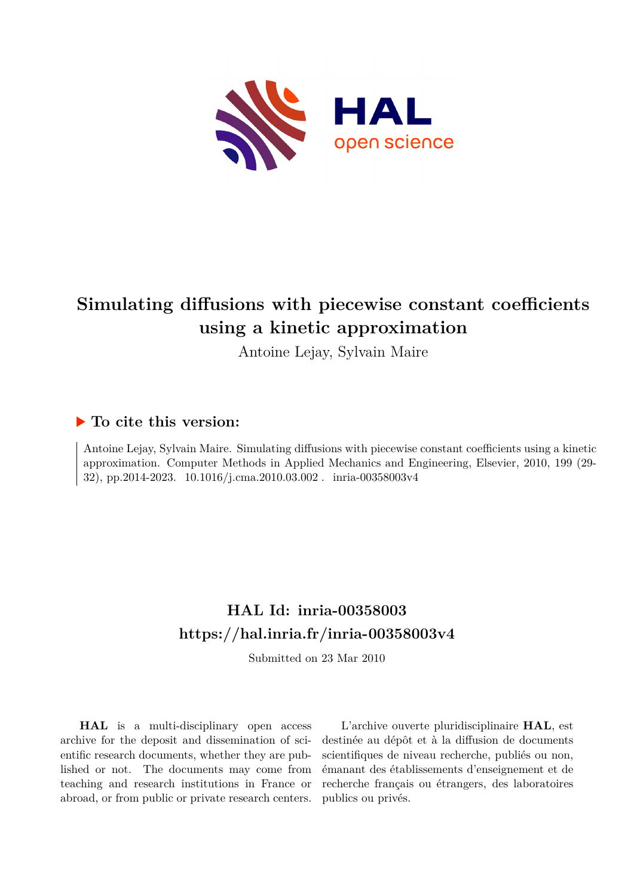

# **Simulating diffusions with piecewise constant coefficients using a kinetic approximation**

Antoine Lejay, Sylvain Maire

## **To cite this version:**

Antoine Lejay, Sylvain Maire. Simulating diffusions with piecewise constant coefficients using a kinetic approximation. Computer Methods in Applied Mechanics and Engineering, Elsevier, 2010, 199 (29- 32), pp.2014-2023. 10.1016/j.cma.2010.03.002. inria-00358003v4

## **HAL Id: inria-00358003 <https://hal.inria.fr/inria-00358003v4>**

Submitted on 23 Mar 2010

**HAL** is a multi-disciplinary open access archive for the deposit and dissemination of scientific research documents, whether they are published or not. The documents may come from teaching and research institutions in France or abroad, or from public or private research centers.

L'archive ouverte pluridisciplinaire **HAL**, est destinée au dépôt et à la diffusion de documents scientifiques de niveau recherche, publiés ou non, émanant des établissements d'enseignement et de recherche français ou étrangers, des laboratoires publics ou privés.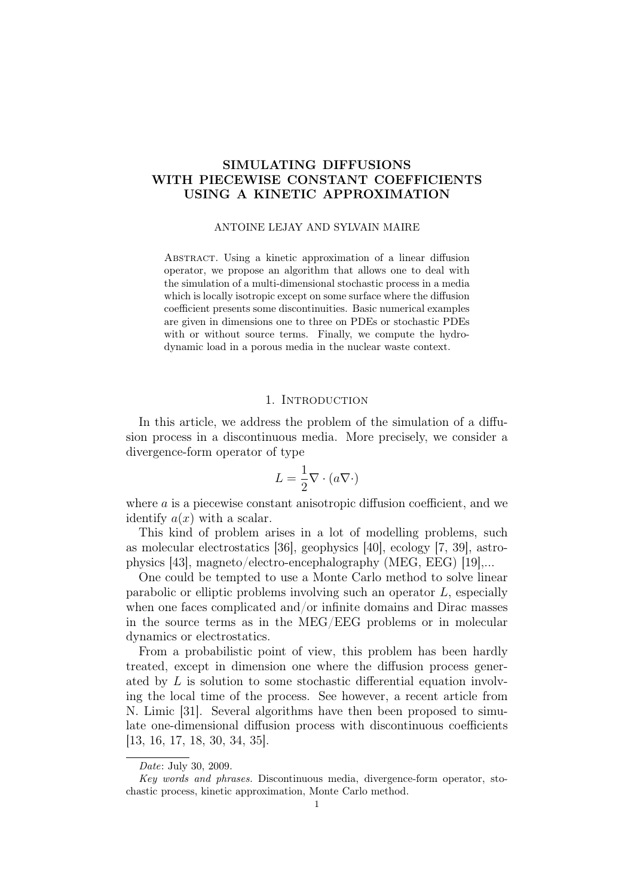## SIMULATING DIFFUSIONS WITH PIECEWISE CONSTANT COEFFICIENTS USING A KINETIC APPROXIMATION

#### ANTOINE LEJAY AND SYLVAIN MAIRE

Abstract. Using a kinetic approximation of a linear diffusion operator, we propose an algorithm that allows one to deal with the simulation of a multi-dimensional stochastic process in a media which is locally isotropic except on some surface where the diffusion coefficient presents some discontinuities. Basic numerical examples are given in dimensions one to three on PDEs or stochastic PDEs with or without source terms. Finally, we compute the hydrodynamic load in a porous media in the nuclear waste context.

#### 1. INTRODUCTION

In this article, we address the problem of the simulation of a diffusion process in a discontinuous media. More precisely, we consider a divergence-form operator of type

$$
L = \frac{1}{2} \nabla \cdot (a \nabla \cdot)
$$

where a is a piecewise constant anisotropic diffusion coefficient, and we identify  $a(x)$  with a scalar.

This kind of problem arises in a lot of modelling problems, such as molecular electrostatics [36], geophysics [40], ecology [7, 39], astrophysics [43], magneto/electro-encephalography (MEG, EEG) [19],...

One could be tempted to use a Monte Carlo method to solve linear parabolic or elliptic problems involving such an operator L, especially when one faces complicated and/or infinite domains and Dirac masses in the source terms as in the MEG/EEG problems or in molecular dynamics or electrostatics.

From a probabilistic point of view, this problem has been hardly treated, except in dimension one where the diffusion process generated by L is solution to some stochastic differential equation involving the local time of the process. See however, a recent article from N. Limic [31]. Several algorithms have then been proposed to simulate one-dimensional diffusion process with discontinuous coefficients [13, 16, 17, 18, 30, 34, 35].

Date: July 30, 2009.

Key words and phrases. Discontinuous media, divergence-form operator, stochastic process, kinetic approximation, Monte Carlo method.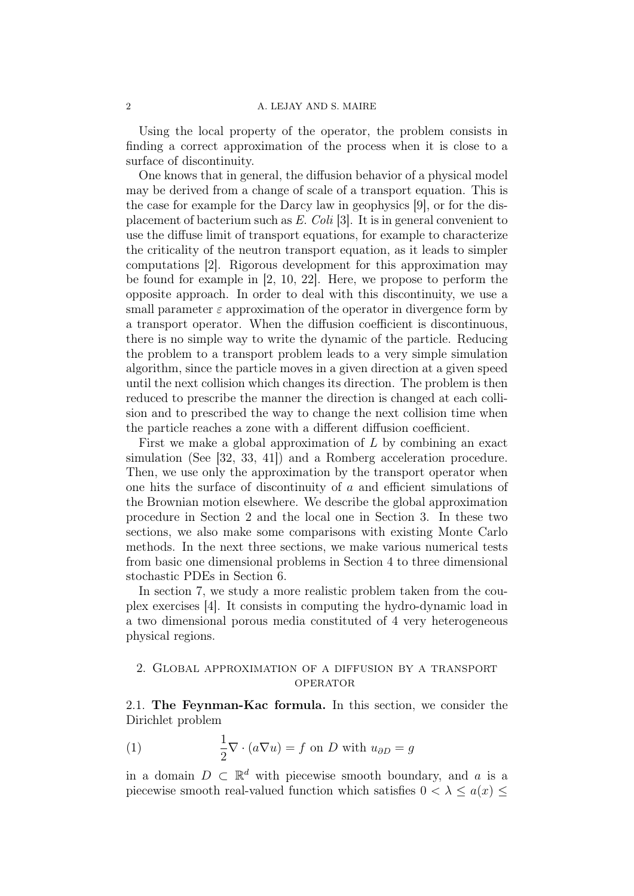Using the local property of the operator, the problem consists in finding a correct approximation of the process when it is close to a surface of discontinuity.

One knows that in general, the diffusion behavior of a physical model may be derived from a change of scale of a transport equation. This is the case for example for the Darcy law in geophysics [9], or for the displacement of bacterium such as E. Coli [3]. It is in general convenient to use the diffuse limit of transport equations, for example to characterize the criticality of the neutron transport equation, as it leads to simpler computations [2]. Rigorous development for this approximation may be found for example in [2, 10, 22]. Here, we propose to perform the opposite approach. In order to deal with this discontinuity, we use a small parameter  $\varepsilon$  approximation of the operator in divergence form by a transport operator. When the diffusion coefficient is discontinuous, there is no simple way to write the dynamic of the particle. Reducing the problem to a transport problem leads to a very simple simulation algorithm, since the particle moves in a given direction at a given speed until the next collision which changes its direction. The problem is then reduced to prescribe the manner the direction is changed at each collision and to prescribed the way to change the next collision time when the particle reaches a zone with a different diffusion coefficient.

First we make a global approximation of L by combining an exact simulation (See [32, 33, 41]) and a Romberg acceleration procedure. Then, we use only the approximation by the transport operator when one hits the surface of discontinuity of a and efficient simulations of the Brownian motion elsewhere. We describe the global approximation procedure in Section 2 and the local one in Section 3. In these two sections, we also make some comparisons with existing Monte Carlo methods. In the next three sections, we make various numerical tests from basic one dimensional problems in Section 4 to three dimensional stochastic PDEs in Section 6.

In section 7, we study a more realistic problem taken from the couplex exercises [4]. It consists in computing the hydro-dynamic load in a two dimensional porous media constituted of 4 very heterogeneous physical regions.

## 2. Global approximation of a diffusion by a transport **OPERATOR**

2.1. The Feynman-Kac formula. In this section, we consider the Dirichlet problem

(1) 
$$
\frac{1}{2} \nabla \cdot (a \nabla u) = f \text{ on } D \text{ with } u_{\partial D} = g
$$

in a domain  $D \subset \mathbb{R}^d$  with piecewise smooth boundary, and a is a piecewise smooth real-valued function which satisfies  $0 < \lambda \leq a(x) \leq$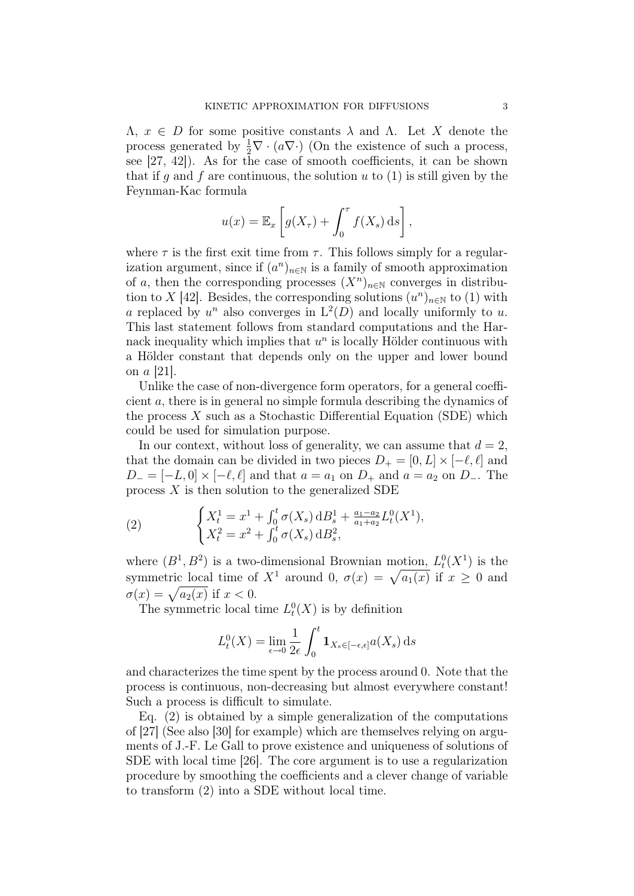$\Lambda, x \in D$  for some positive constants  $\lambda$  and  $\Lambda$ . Let X denote the process generated by  $\frac{1}{2}\nabla \cdot (a\nabla \cdot)$  (On the existence of such a process, see [27, 42]). As for the case of smooth coefficients, it can be shown that if q and f are continuous, the solution u to  $(1)$  is still given by the Feynman-Kac formula

$$
u(x) = \mathbb{E}_x \left[ g(X_\tau) + \int_0^\tau f(X_s) \, ds \right],
$$

where  $\tau$  is the first exit time from  $\tau$ . This follows simply for a regularization argument, since if  $(a^n)_{n\in\mathbb{N}}$  is a family of smooth approximation of a, then the corresponding processes  $(X^n)_{n\in\mathbb{N}}$  converges in distribution to X [42]. Besides, the corresponding solutions  $(u^n)_{n\in\mathbb{N}}$  to (1) with a replaced by  $u^n$  also converges in  $L^2(D)$  and locally uniformly to u. This last statement follows from standard computations and the Harnack inequality which implies that  $u^n$  is locally Hölder continuous with a Hölder constant that depends only on the upper and lower bound on a [21].

Unlike the case of non-divergence form operators, for a general coefficient a, there is in general no simple formula describing the dynamics of the process  $X$  such as a Stochastic Differential Equation (SDE) which could be used for simulation purpose.

In our context, without loss of generality, we can assume that  $d = 2$ , that the domain can be divided in two pieces  $D_+ = [0, L] \times [-\ell, \ell]$  and  $D_- = [-L, 0] \times [-\ell, \ell]$  and that  $a = a_1$  on  $D_+$  and  $a = a_2$  on  $D_-$ . The process  $X$  is then solution to the generalized SDE

(2) 
$$
\begin{cases} X_t^1 = x^1 + \int_0^t \sigma(X_s) \, dB_s^1 + \frac{a_1 - a_2}{a_1 + a_2} L_t^0(X^1), \\ X_t^2 = x^2 + \int_0^t \sigma(X_s) \, dB_s^2, \end{cases}
$$

where  $(B^1, B^2)$  is a two-dimensional Brownian motion,  $L_t^0(X^1)$  is the symmetric local time of  $X^1$  around 0,  $\sigma(x) = \sqrt{a_1(x)}$  if  $x \ge 0$  and  $\sigma(x) = \sqrt{a_2(x)}$  if  $x < 0$ .

The symmetric local time  $L_t^0(X)$  is by definition

$$
L_t^0(X) = \lim_{\epsilon \to 0} \frac{1}{2\epsilon} \int_0^t \mathbf{1}_{X_s \in [-\epsilon, \epsilon]} a(X_s) \, \mathrm{d} s
$$

and characterizes the time spent by the process around 0. Note that the process is continuous, non-decreasing but almost everywhere constant! Such a process is difficult to simulate.

Eq. (2) is obtained by a simple generalization of the computations of [27] (See also [30] for example) which are themselves relying on arguments of J.-F. Le Gall to prove existence and uniqueness of solutions of SDE with local time [26]. The core argument is to use a regularization procedure by smoothing the coefficients and a clever change of variable to transform (2) into a SDE without local time.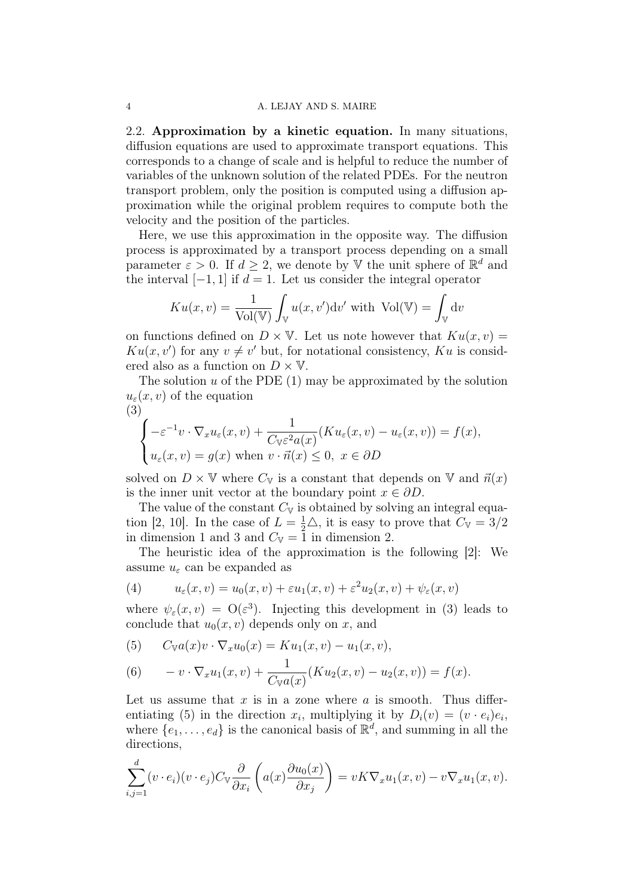2.2. Approximation by a kinetic equation. In many situations, diffusion equations are used to approximate transport equations. This corresponds to a change of scale and is helpful to reduce the number of variables of the unknown solution of the related PDEs. For the neutron transport problem, only the position is computed using a diffusion approximation while the original problem requires to compute both the velocity and the position of the particles.

Here, we use this approximation in the opposite way. The diffusion process is approximated by a transport process depending on a small parameter  $\varepsilon > 0$ . If  $d \geq 2$ , we denote by V the unit sphere of  $\mathbb{R}^d$  and the interval  $[-1, 1]$  if  $d = 1$ . Let us consider the integral operator

$$
K u(x, v) = \frac{1}{\text{Vol}(\mathbb{V})} \int_{\mathbb{V}} u(x, v') \, dv' \text{ with } \text{Vol}(\mathbb{V}) = \int_{\mathbb{V}} dv
$$

on functions defined on  $D \times V$ . Let us note however that  $K u(x, v) =$  $Ku(x, v')$  for any  $v \neq v'$  but, for notational consistency,  $Ku$  is considered also as a function on  $D \times V$ .

The solution  $u$  of the PDE  $(1)$  may be approximated by the solution  $u_{\varepsilon}(x, v)$  of the equation (3)

$$
\begin{cases}\n-\varepsilon^{-1}v \cdot \nabla_x u_\varepsilon(x,v) + \frac{1}{C_v \varepsilon^2 a(x)} (K u_\varepsilon(x,v) - u_\varepsilon(x,v)) = f(x), \\
u_\varepsilon(x,v) = g(x) \text{ when } v \cdot \vec{n}(x) \le 0, \ x \in \partial D\n\end{cases}
$$

solved on  $D \times V$  where  $C_V$  is a constant that depends on V and  $\vec{n}(x)$ is the inner unit vector at the boundary point  $x \in \partial D$ .

The value of the constant  $C_V$  is obtained by solving an integral equation [2, 10]. In the case of  $L = \frac{1}{2}\triangle$ , it is easy to prove that  $C_{\mathbb{V}} = 3/2$ in dimension 1 and 3 and  $C_{\mathbb{V}} = 1$  in dimension 2.

The heuristic idea of the approximation is the following [2]: We assume  $u_{\varepsilon}$  can be expanded as

(4) 
$$
u_{\varepsilon}(x,v) = u_0(x,v) + \varepsilon u_1(x,v) + \varepsilon^2 u_2(x,v) + \psi_{\varepsilon}(x,v)
$$

where  $\psi_{\varepsilon}(x,v) = O(\varepsilon^3)$ . Injecting this development in (3) leads to conclude that  $u_0(x, v)$  depends only on x, and

(5) 
$$
C_{\mathbb{V}}a(x)v \cdot \nabla_x u_0(x) = Ku_1(x, v) - u_1(x, v),
$$

(6) 
$$
-v\cdot\nabla_x u_1(x,v) + \frac{1}{C_{\mathbb{V}}a(x)}(Ku_2(x,v) - u_2(x,v)) = f(x).
$$

Let us assume that  $x$  is in a zone where  $a$  is smooth. Thus differentiating (5) in the direction  $x_i$ , multiplying it by  $D_i(v) = (v \cdot e_i)e_i$ , where  $\{e_1, \ldots, e_d\}$  is the canonical basis of  $\mathbb{R}^d$ , and summing in all the directions,

$$
\sum_{i,j=1}^d (v \cdot e_i)(v \cdot e_j) C_{\mathbb{V}} \frac{\partial}{\partial x_i} \left( a(x) \frac{\partial u_0(x)}{\partial x_j} \right) = vK \nabla_x u_1(x,v) - v \nabla_x u_1(x,v).
$$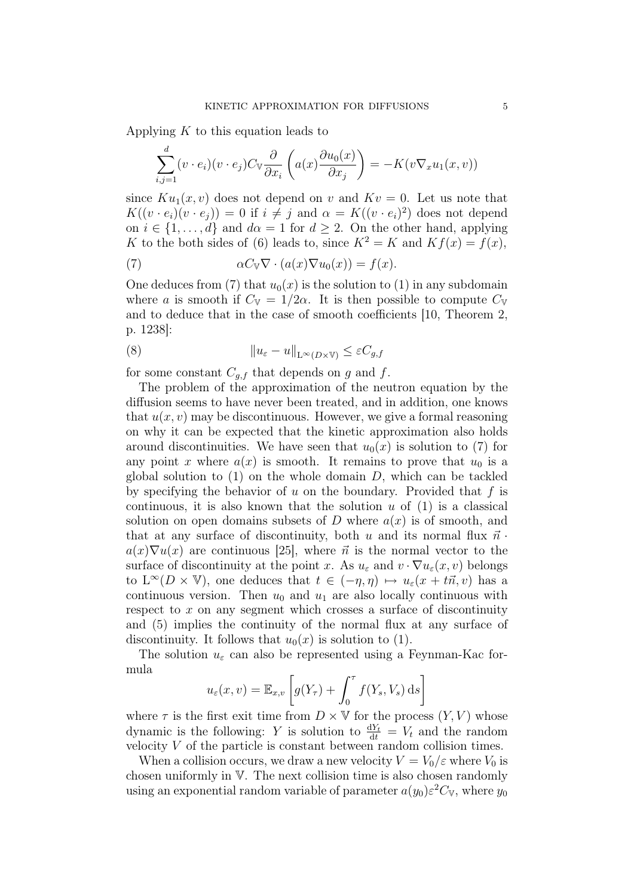Applying  $K$  to this equation leads to

$$
\sum_{i,j=1}^d (v \cdot e_i)(v \cdot e_j) C_{\mathbb{V}} \frac{\partial}{\partial x_i} \left( a(x) \frac{\partial u_0(x)}{\partial x_j} \right) = -K(v \nabla_x u_1(x,v))
$$

since  $Ku_1(x, v)$  does not depend on v and  $Kv = 0$ . Let us note that  $K((v \cdot e_i)(v \cdot e_j)) = 0$  if  $i \neq j$  and  $\alpha = K((v \cdot e_i)^2)$  does not depend on  $i \in \{1, \ldots, d\}$  and  $d\alpha = 1$  for  $d \geq 2$ . On the other hand, applying K to the both sides of (6) leads to, since  $K^2 = K$  and  $Kf(x) = f(x)$ ,

(7) 
$$
\alpha C_{\mathbb{V}} \nabla \cdot (a(x) \nabla u_0(x)) = f(x).
$$

One deduces from (7) that  $u_0(x)$  is the solution to (1) in any subdomain where a is smooth if  $C_{\mathbb{V}} = 1/2\alpha$ . It is then possible to compute  $C_{\mathbb{V}}$ and to deduce that in the case of smooth coefficients [10, Theorem 2, p. 1238]:

(8) 
$$
||u_{\varepsilon} - u||_{L^{\infty}(D \times \mathbb{V})} \leq \varepsilon C_{g,f}
$$

for some constant  $C_{q,f}$  that depends on g and f.

The problem of the approximation of the neutron equation by the diffusion seems to have never been treated, and in addition, one knows that  $u(x, v)$  may be discontinuous. However, we give a formal reasoning on why it can be expected that the kinetic approximation also holds around discontinuities. We have seen that  $u_0(x)$  is solution to (7) for any point x where  $a(x)$  is smooth. It remains to prove that  $u_0$  is a global solution to  $(1)$  on the whole domain D, which can be tackled by specifying the behavior of  $u$  on the boundary. Provided that  $f$  is continuous, it is also known that the solution  $u$  of  $(1)$  is a classical solution on open domains subsets of D where  $a(x)$  is of smooth, and that at any surface of discontinuity, both u and its normal flux  $\vec{n}$ .  $a(x)\nabla u(x)$  are continuous [25], where  $\vec{n}$  is the normal vector to the surface of discontinuity at the point x. As  $u_{\varepsilon}$  and  $v \cdot \nabla u_{\varepsilon}(x, v)$  belongs to  $L^{\infty}(D \times \mathbb{V})$ , one deduces that  $t \in (-\eta, \eta) \mapsto u_{\varepsilon}(x + t\vec{n}, v)$  has a continuous version. Then  $u_0$  and  $u_1$  are also locally continuous with respect to  $x$  on any segment which crosses a surface of discontinuity and (5) implies the continuity of the normal flux at any surface of discontinuity. It follows that  $u_0(x)$  is solution to (1).

The solution  $u_{\varepsilon}$  can also be represented using a Feynman-Kac formula

$$
u_{\varepsilon}(x,v) = \mathbb{E}_{x,v} \left[ g(Y_{\tau}) + \int_0^{\tau} f(Y_s, V_s) \, ds \right]
$$

where  $\tau$  is the first exit time from  $D \times \mathbb{V}$  for the process  $(Y, V)$  whose dynamic is the following: Y is solution to  $\frac{dY_t}{dt} = V_t$  and the random velocity  $V$  of the particle is constant between random collision times.

When a collision occurs, we draw a new velocity  $V = V_0/\varepsilon$  where  $V_0$  is chosen uniformly in V. The next collision time is also chosen randomly using an exponential random variable of parameter  $a(y_0) \varepsilon^2 C_{\mathbb{V}}$ , where  $y_0$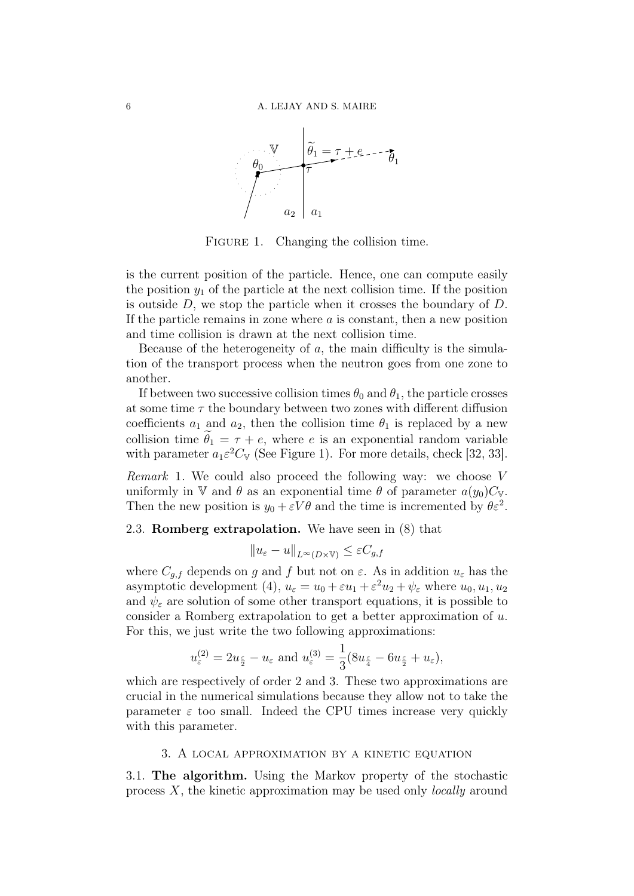

FIGURE 1. Changing the collision time.

is the current position of the particle. Hence, one can compute easily the position  $y_1$  of the particle at the next collision time. If the position is outside  $D$ , we stop the particle when it crosses the boundary of  $D$ . If the particle remains in zone where  $a$  is constant, then a new position and time collision is drawn at the next collision time.

Because of the heterogeneity of  $a$ , the main difficulty is the simulation of the transport process when the neutron goes from one zone to another.

If between two successive collision times  $\theta_0$  and  $\theta_1$ , the particle crosses at some time  $\tau$  the boundary between two zones with different diffusion coefficients  $a_1$  and  $a_2$ , then the collision time  $\theta_1$  is replaced by a new collision time  $\tilde{\theta}_1 = \tau + e$ , where e is an exponential random variable with parameter  $a_1 \varepsilon^2 C_{\mathbb{V}}$  (See Figure 1). For more details, check [32, 33].

Remark 1. We could also proceed the following way: we choose  $V$ uniformly in V and  $\theta$  as an exponential time  $\theta$  of parameter  $a(y_0)C_V$ . Then the new position is  $y_0 + \varepsilon V \theta$  and the time is incremented by  $\theta \varepsilon^2$ .

## 2.3. Romberg extrapolation. We have seen in (8) that

$$
||u_{\varepsilon} - u||_{L^{\infty}(D \times \mathbb{V})} \leq \varepsilon C_{g,f}
$$

where  $C_{q,f}$  depends on g and f but not on  $\varepsilon$ . As in addition  $u_{\varepsilon}$  has the asymptotic development (4),  $u_{\varepsilon} = u_0 + \varepsilon u_1 + \varepsilon^2 u_2 + \psi_{\varepsilon}$  where  $u_0, u_1, u_2$ and  $\psi_{\varepsilon}$  are solution of some other transport equations, it is possible to consider a Romberg extrapolation to get a better approximation of u. For this, we just write the two following approximations:

$$
u_{\varepsilon}^{(2)} = 2u_{\frac{\varepsilon}{2}} - u_{\varepsilon}
$$
 and  $u_{\varepsilon}^{(3)} = \frac{1}{3}(8u_{\frac{\varepsilon}{4}} - 6u_{\frac{\varepsilon}{2}} + u_{\varepsilon}),$ 

which are respectively of order 2 and 3. These two approximations are crucial in the numerical simulations because they allow not to take the parameter  $\varepsilon$  too small. Indeed the CPU times increase very quickly with this parameter.

#### 3. A local approximation by a kinetic equation

3.1. The algorithm. Using the Markov property of the stochastic process  $X$ , the kinetic approximation may be used only *locally* around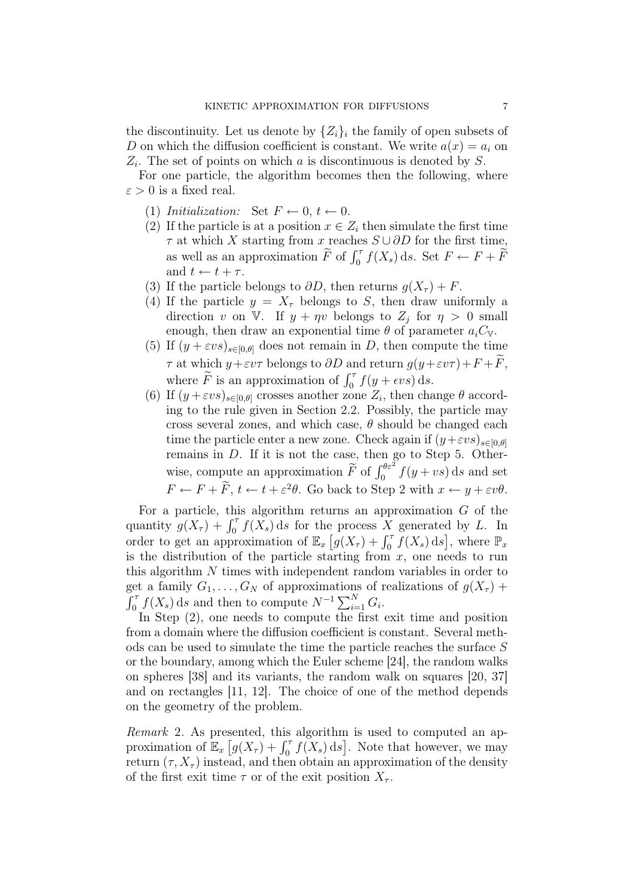the discontinuity. Let us denote by  $\{Z_i\}_i$  the family of open subsets of D on which the diffusion coefficient is constant. We write  $a(x) = a_i$  on  $Z_i$ . The set of points on which a is discontinuous is denoted by S.

For one particle, the algorithm becomes then the following, where  $\varepsilon > 0$  is a fixed real.

- (1) Initialization: Set  $F \leftarrow 0, t \leftarrow 0$ .
- (2) If the particle is at a position  $x \in Z_i$  then simulate the first time  $\tau$  at which X starting from x reaches  $S \cup \partial D$  for the first time, as well as an approximation  $\widetilde{F}$  of  $\int_0^{\tau} f(X_s) ds$ . Set  $F \leftarrow F + \widetilde{F}$ and  $t \leftarrow t + \tau$ .
- (3) If the particle belongs to  $\partial D$ , then returns  $q(X_\tau) + F$ .
- (4) If the particle  $y = X_\tau$  belongs to S, then draw uniformly a direction v on V. If  $y + \eta v$  belongs to  $Z_j$  for  $\eta > 0$  small enough, then draw an exponential time  $\theta$  of parameter  $a_iC_{\mathcal{V}}$ .
- (5) If  $(y + \varepsilon v s)_{s \in [0,\theta]}$  does not remain in D, then compute the time  $\tau$  at which  $y + \varepsilon v \tau$  belongs to  $\partial D$  and return  $g(y + \varepsilon v \tau) + F + \overline{F}$ , where  $\widetilde{F}$  is an approximation of  $\int_0^{\tau} f(y + \epsilon vs) ds$ .
- (6) If  $(y + \varepsilon vs)_{s \in [0,\theta]}$  crosses another zone  $Z_i$ , then change  $\theta$  according to the rule given in Section 2.2. Possibly, the particle may cross several zones, and which case,  $\theta$  should be changed each time the particle enter a new zone. Check again if  $(y+\varepsilon vs)_{s\in[0,\theta]}$ remains in D. If it is not the case, then go to Step 5. Otherwise, compute an approximation  $\widetilde{F}$  of  $\int_0^{\theta \varepsilon^2} f(y + vs) \, ds$  and set  $F \leftarrow F + \overline{F}, t \leftarrow t + \varepsilon^2 \theta$ . Go back to Step 2 with  $x \leftarrow y + \varepsilon v \theta$ .

For a particle, this algorithm returns an approximation  $G$  of the quantity  $g(X_{\tau}) + \int_0^{\tau} f(X_s) ds$  for the process X generated by L. In order to get an approximation of  $\mathbb{E}_x[g(X_\tau) + \int_0^\tau f(X_s) ds]$ , where  $\mathbb{P}_x$ is the distribution of the particle starting from  $x$ , one needs to run this algorithm N times with independent random variables in order to get a family  $G_1, \ldots, G_N$  of approximations of realizations of  $g(X_\tau)$  +  $\int_0^{\tau} f(X_s) ds$  and then to compute  $N^{-1} \sum_{i=1}^{N} G_i$ .

In Step (2), one needs to compute the first exit time and position from a domain where the diffusion coefficient is constant. Several methods can be used to simulate the time the particle reaches the surface S or the boundary, among which the Euler scheme [24], the random walks on spheres [38] and its variants, the random walk on squares [20, 37] and on rectangles [11, 12]. The choice of one of the method depends on the geometry of the problem.

Remark 2. As presented, this algorithm is used to computed an approximation of  $\mathbb{E}_x[g(X_\tau)+\int_0^\tau f(X_s)\,ds]$ . Note that however, we may return  $(\tau, X_{\tau})$  instead, and then obtain an approximation of the density of the first exit time  $\tau$  or of the exit position  $X_{\tau}$ .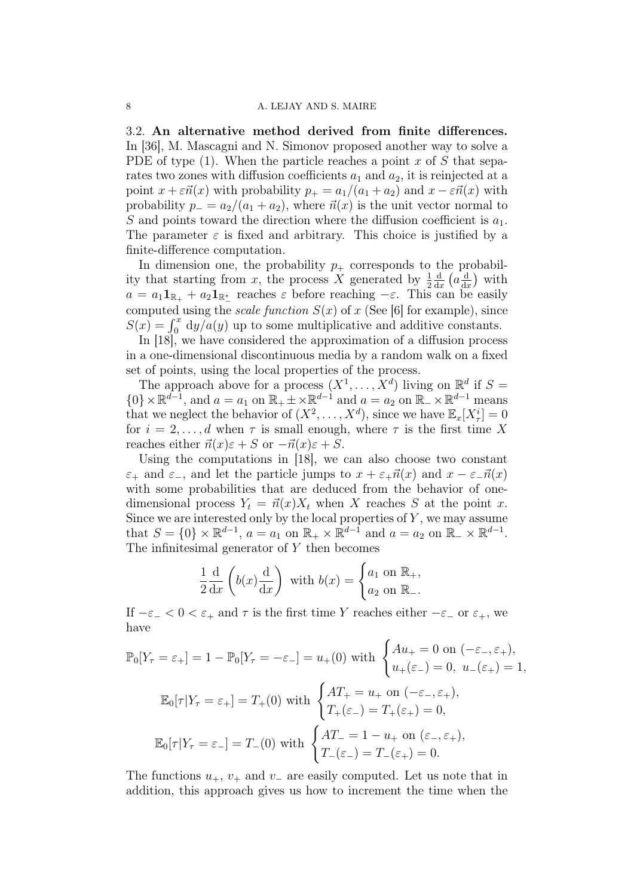3.2. An alternative method derived from finite differences. In [36], M. Mascagni and N. Simonov proposed another way to solve a PDE of type  $(1)$ . When the particle reaches a point x of S that separates two zones with diffusion coefficients  $a_1$  and  $a_2$ , it is reinjected at a point  $x + \varepsilon \vec{n}(x)$  with probability  $p_+ = a_1/(a_1 + a_2)$  and  $x - \varepsilon \vec{n}(x)$  with probability  $p_ - = a_2/(a_1 + a_2)$ , where  $\vec{n}(x)$  is the unit vector normal to S and points toward the direction where the diffusion coefficient is  $a_1$ . The parameter  $\varepsilon$  is fixed and arbitrary. This choice is justified by a finite-difference computation.

In dimension one, the probability  $p_+$  corresponds to the probability that starting from x, the process X generated by  $\frac{1}{2}$ d  $rac{\mathrm{d}}{\mathrm{d}x}\left(a\frac{\mathrm{d}}{\mathrm{d}x}\right)$  $\frac{d}{dx}$ ) with  $a = a_1 \mathbf{1}_{\mathbb{R}_+} + a_2 \mathbf{1}_{\mathbb{R}_-^*}$  reaches  $\varepsilon$  before reaching  $-\varepsilon$ . This can be easily computed using the *scale function*  $S(x)$  of x (See [6] for example), since  $S(x) = \int_0^x dy/a(y)$  up to some multiplicative and additive constants.

In [18], we have considered the approximation of a diffusion process in a one-dimensional discontinuous media by a random walk on a fixed set of points, using the local properties of the process.

The approach above for a process  $(X^1, \ldots, X^d)$  living on  $\mathbb{R}^d$  if  $S =$  $\{0\} \times \mathbb{R}^{d-1}$ , and  $a = a_1$  on  $\mathbb{R}_+ \pm \times \mathbb{R}^{d-1}$  and  $a = a_2$  on  $\mathbb{R}_- \times \mathbb{R}^{d-1}$  means that we neglect the behavior of  $(X^2, \ldots, X^d)$ , since we have  $\mathbb{E}_x[X^i_{\tau}] = 0$ for  $i = 2, \ldots, d$  when  $\tau$  is small enough, where  $\tau$  is the first time X reaches either  $\vec{n}(x)\varepsilon + S$  or  $-\vec{n}(x)\varepsilon + S$ .

Using the computations in [18], we can also choose two constant  $\varepsilon_+$  and  $\varepsilon_-$ , and let the particle jumps to  $x + \varepsilon_+ \vec{n}(x)$  and  $x - \varepsilon_- \vec{n}(x)$ with some probabilities that are deduced from the behavior of onedimensional process  $Y_t = \vec{n}(x)X_t$  when X reaches S at the point x. Since we are interested only by the local properties of  $Y$ , we may assume that  $S = \{0\} \times \mathbb{R}^{d-1}$ ,  $a = a_1$  on  $\mathbb{R}_+ \times \mathbb{R}^{d-1}$  and  $a = a_2$  on  $\mathbb{R}_- \times \mathbb{R}^{d-1}$ . The infinitesimal generator of  $Y$  then becomes

$$
\frac{1}{2}\frac{d}{dx}\left(b(x)\frac{d}{dx}\right)
$$
 with  $b(x) = \begin{cases} a_1 \text{ on } \mathbb{R}_+, \\ a_2 \text{ on } \mathbb{R}_-. \end{cases}$ 

If  $-\varepsilon_- < 0 < \varepsilon_+$  and  $\tau$  is the first time Y reaches either  $-\varepsilon_-$  or  $\varepsilon_+$ , we have

$$
\mathbb{P}_0[Y_\tau = \varepsilon_+] = 1 - \mathbb{P}_0[Y_\tau = -\varepsilon_-] = u_+(0) \text{ with } \begin{cases} Au_+ = 0 \text{ on } (-\varepsilon_-, \varepsilon_+), \\ u_+(\varepsilon_-) = 0, u_-(\varepsilon_+) = 1, \end{cases}
$$

$$
\mathbb{E}_0[\tau|Y_\tau = \varepsilon_+] = T_+(0) \text{ with } \begin{cases} AT_+ = u_+ \text{ on } (-\varepsilon_-, \varepsilon_+), \\ T_+(\varepsilon_-) = T_+(\varepsilon_+) = 0, \end{cases}
$$

$$
\mathbb{E}_0[\tau|Y_\tau = \varepsilon_-] = T_-(0) \text{ with } \begin{cases} AT_- = 1 - u_+ \text{ on } (\varepsilon_-, \varepsilon_+), \\ T_-(\varepsilon_-) = T_-(\varepsilon_+) = 0. \end{cases}
$$

The functions  $u_+, v_+$  and  $v_-\$ are easily computed. Let us note that in addition, this approach gives us how to increment the time when the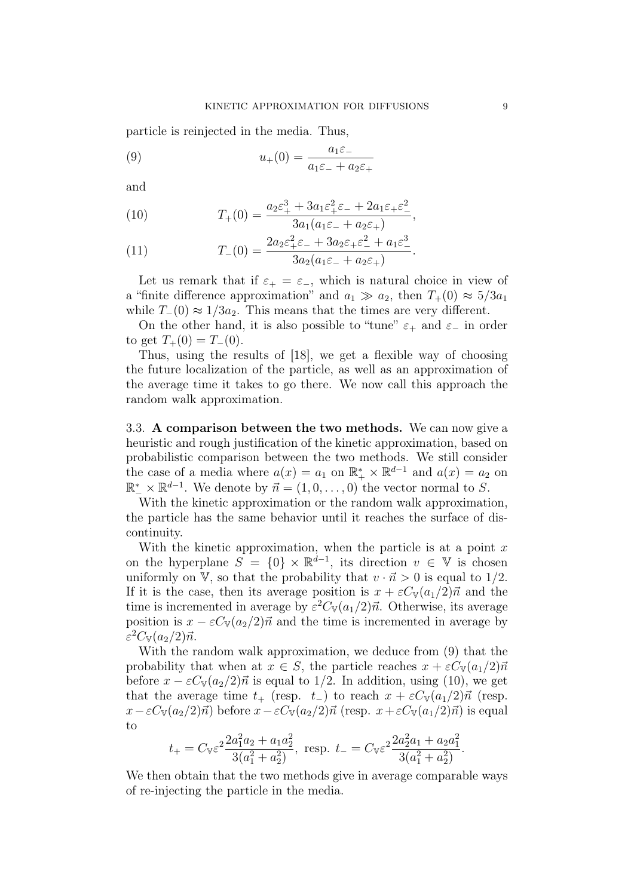particle is reinjected in the media. Thus,

(9) 
$$
u_{+}(0) = \frac{a_{1}\varepsilon_{-}}{a_{1}\varepsilon_{-} + a_{2}\varepsilon_{+}}
$$

and

(10) 
$$
T_+(0) = \frac{a_2 \varepsilon_+^3 + 3a_1 \varepsilon_+^2 \varepsilon_- + 2a_1 \varepsilon_+ \varepsilon_-^2}{3a_1(a_1 \varepsilon_- + a_2 \varepsilon_+)},
$$

(11) 
$$
T_{-}(0) = \frac{2a_2\varepsilon_+^2\varepsilon_- + 3a_2\varepsilon_+\varepsilon_-^2 + a_1\varepsilon_-^3}{3a_2(a_1\varepsilon_- + a_2\varepsilon_+)}.
$$

Let us remark that if  $\varepsilon_{+} = \varepsilon_{-}$ , which is natural choice in view of a "finite difference approximation" and  $a_1 \gg a_2$ , then  $T_+(0) \approx 5/3a_1$ while  $T_-(0) \approx 1/3a_2$ . This means that the times are very different.

On the other hand, it is also possible to "tune"  $\varepsilon_+$  and  $\varepsilon_-$  in order to get  $T_+(0) = T_-(0)$ .

Thus, using the results of [18], we get a flexible way of choosing the future localization of the particle, as well as an approximation of the average time it takes to go there. We now call this approach the random walk approximation.

3.3. A comparison between the two methods. We can now give a heuristic and rough justification of the kinetic approximation, based on probabilistic comparison between the two methods. We still consider the case of a media where  $a(x) = a_1$  on  $\mathbb{R}_+^* \times \mathbb{R}^{d-1}$  and  $a(x) = a_2$  on  $\mathbb{R}^*_- \times \mathbb{R}^{d-1}$ . We denote by  $\vec{n} = (1, 0, \ldots, 0)$  the vector normal to S.

With the kinetic approximation or the random walk approximation, the particle has the same behavior until it reaches the surface of discontinuity.

With the kinetic approximation, when the particle is at a point  $x$ on the hyperplane  $S = \{0\} \times \mathbb{R}^{d-1}$ , its direction  $v \in \mathbb{V}$  is chosen uniformly on V, so that the probability that  $v \cdot \vec{n} > 0$  is equal to 1/2. If it is the case, then its average position is  $x + \varepsilon C_{V}(a_1/2)\vec{n}$  and the time is incremented in average by  $\varepsilon^2 C_{V}(a_1/2)\vec{n}$ . Otherwise, its average position is  $x - \varepsilon C_{V}(a_2/2)\vec{n}$  and the time is incremented in average by  $\varepsilon^2 C_{\mathbb{V}}(a_2/2)\vec{n}.$ 

With the random walk approximation, we deduce from (9) that the probability that when at  $x \in S$ , the particle reaches  $x + \varepsilon C_{\mathbb{V}}(a_1/2)\vec{n}$ before  $x - \varepsilon C_{V}(a_2/2)\vec{n}$  is equal to 1/2. In addition, using (10), we get that the average time  $t_{+}$  (resp.  $t_{-}$ ) to reach  $x + \varepsilon C_{\mathbb{V}}(a_1/2)\vec{n}$  (resp.  $x-\varepsilon C_{\mathbb{V}}(a_2/2)\vec{n}$  before  $x-\varepsilon C_{\mathbb{V}}(a_2/2)\vec{n}$  (resp.  $x+\varepsilon C_{\mathbb{V}}(a_1/2)\vec{n}$ ) is equal to

$$
t_{+} = C_{\mathbb{V}} \varepsilon^{2} \frac{2a_{1}^{2} a_{2} + a_{1} a_{2}^{2}}{3(a_{1}^{2} + a_{2}^{2})}, \text{ resp. } t_{-} = C_{\mathbb{V}} \varepsilon^{2} \frac{2a_{2}^{2} a_{1} + a_{2} a_{1}^{2}}{3(a_{1}^{2} + a_{2}^{2})}.
$$

We then obtain that the two methods give in average comparable ways of re-injecting the particle in the media.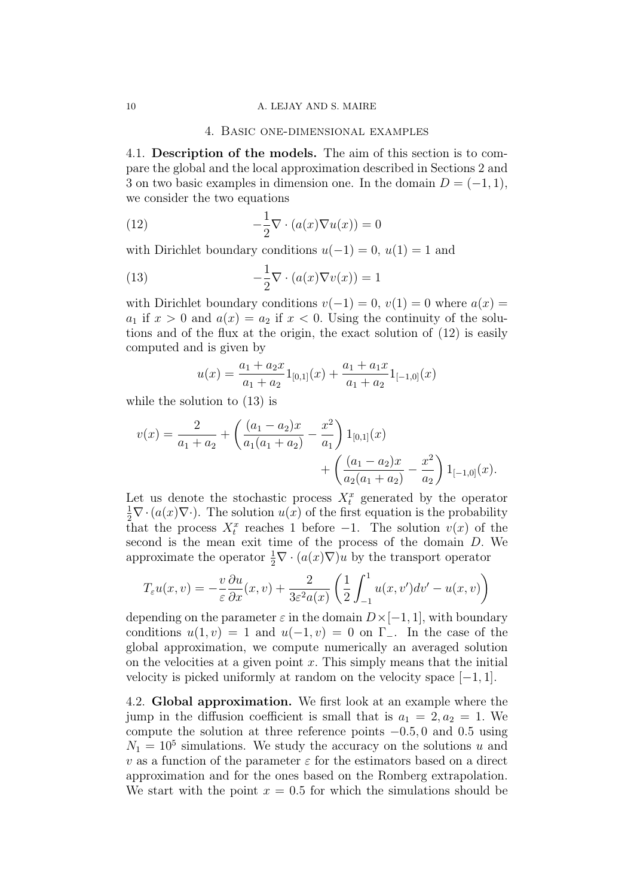#### 10 A. LEJAY AND S. MAIRE

#### 4. Basic one-dimensional examples

4.1. Description of the models. The aim of this section is to compare the global and the local approximation described in Sections 2 and 3 on two basic examples in dimension one. In the domain  $D = (-1, 1)$ , we consider the two equations

(12) 
$$
-\frac{1}{2}\nabla \cdot (a(x)\nabla u(x)) = 0
$$

with Dirichlet boundary conditions  $u(-1) = 0$ ,  $u(1) = 1$  and

(13) 
$$
-\frac{1}{2}\nabla \cdot (a(x)\nabla v(x)) = 1
$$

with Dirichlet boundary conditions  $v(-1) = 0$ ,  $v(1) = 0$  where  $a(x) =$  $a_1$  if  $x > 0$  and  $a(x) = a_2$  if  $x < 0$ . Using the continuity of the solutions and of the flux at the origin, the exact solution of (12) is easily computed and is given by

$$
u(x) = \frac{a_1 + a_2 x}{a_1 + a_2} 1_{[0,1]}(x) + \frac{a_1 + a_1 x}{a_1 + a_2} 1_{[-1,0]}(x)
$$

while the solution to (13) is

$$
v(x) = \frac{2}{a_1 + a_2} + \left(\frac{(a_1 - a_2)x}{a_1(a_1 + a_2)} - \frac{x^2}{a_1}\right) 1_{[0,1]}(x) + \left(\frac{(a_1 - a_2)x}{a_2(a_1 + a_2)} - \frac{x^2}{a_2}\right) 1_{[-1,0]}(x).
$$

Let us denote the stochastic process  $X_t^x$  generated by the operator  $\frac{1}{2}\nabla \cdot (a(x)\nabla \cdot)$ . The solution  $u(x)$  of the first equation is the probability that the process  $X_t^x$  reaches 1 before  $-1$ . The solution  $v(x)$  of the second is the mean exit time of the process of the domain D. We approximate the operator  $\frac{1}{2}\nabla \cdot (a(x)\nabla)u$  by the transport operator

$$
T_{\varepsilon}u(x,v) = -\frac{v}{\varepsilon}\frac{\partial u}{\partial x}(x,v) + \frac{2}{3\varepsilon^2 a(x)}\left(\frac{1}{2}\int_{-1}^1 u(x,v')dv' - u(x,v)\right)
$$

depending on the parameter  $\varepsilon$  in the domain  $D\times[-1,1]$ , with boundary conditions  $u(1, v) = 1$  and  $u(-1, v) = 0$  on Γ\_. In the case of the global approximation, we compute numerically an averaged solution on the velocities at a given point  $x$ . This simply means that the initial velocity is picked uniformly at random on the velocity space  $[-1, 1]$ .

4.2. Global approximation. We first look at an example where the jump in the diffusion coefficient is small that is  $a_1 = 2, a_2 = 1$ . We compute the solution at three reference points  $-0.5, 0$  and 0.5 using  $N_1 = 10^5$  simulations. We study the accuracy on the solutions u and  $v$  as a function of the parameter  $\varepsilon$  for the estimators based on a direct approximation and for the ones based on the Romberg extrapolation. We start with the point  $x = 0.5$  for which the simulations should be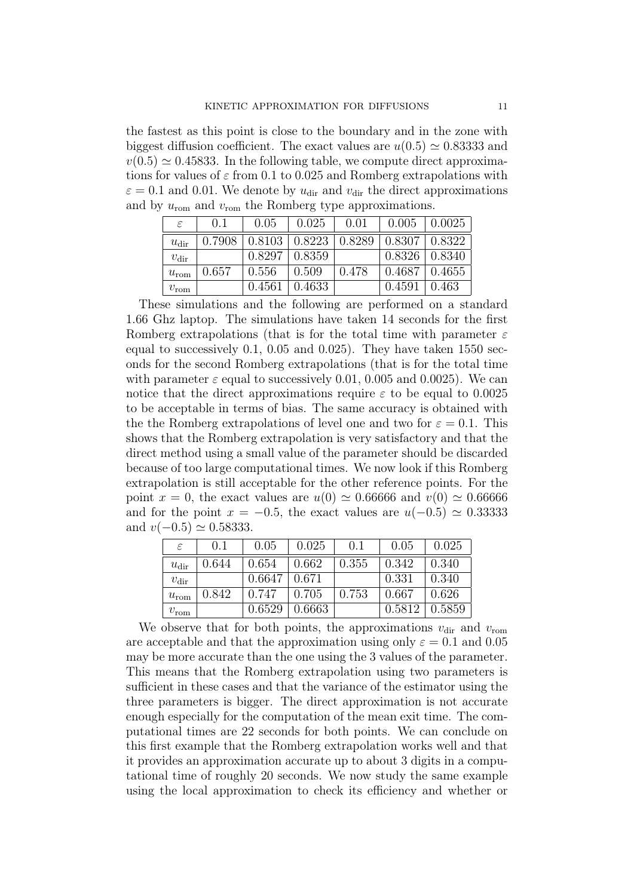the fastest as this point is close to the boundary and in the zone with biggest diffusion coefficient. The exact values are  $u(0.5) \approx 0.83333$  and  $v(0.5) \simeq 0.45833$ . In the following table, we compute direct approximations for values of  $\varepsilon$  from 0.1 to 0.025 and Romberg extrapolations with  $\varepsilon = 0.1$  and 0.01. We denote by  $u_{\text{dir}}$  and  $v_{\text{dir}}$  the direct approximations and by  $u_{\text{rom}}$  and  $v_{\text{rom}}$  the Romberg type approximations.

| ε                | 0.1    | 0.05   | 0.025                            | 0.01  | 0.005                | 0.0025 |
|------------------|--------|--------|----------------------------------|-------|----------------------|--------|
| $u_{\text{dir}}$ | 0.7908 |        | $0.8103 \mid 0.8223 \mid 0.8289$ |       | $0.8307 \mid 0.8322$ |        |
| $v_{\text{dir}}$ |        | 0.8297 | $\pm 0.8359$                     |       | $0.8326 \mid 0.8340$ |        |
| $u_{\rm{rom}}$   | 0.657  | 0.556  | 0.509                            | 0.478 | 0.4687               | 0.4655 |
| $v_{\rm rom}$    |        | 0.4561 | 0.4633                           |       | 0.4591               | 0.463  |

These simulations and the following are performed on a standard 1.66 Ghz laptop. The simulations have taken 14 seconds for the first Romberg extrapolations (that is for the total time with parameter  $\varepsilon$ equal to successively 0.1, 0.05 and 0.025). They have taken 1550 seconds for the second Romberg extrapolations (that is for the total time with parameter  $\varepsilon$  equal to successively 0.01, 0.005 and 0.0025). We can notice that the direct approximations require  $\varepsilon$  to be equal to 0.0025 to be acceptable in terms of bias. The same accuracy is obtained with the the Romberg extrapolations of level one and two for  $\varepsilon = 0.1$ . This shows that the Romberg extrapolation is very satisfactory and that the direct method using a small value of the parameter should be discarded because of too large computational times. We now look if this Romberg extrapolation is still acceptable for the other reference points. For the point  $x = 0$ , the exact values are  $u(0) \approx 0.66666$  and  $v(0) \approx 0.66666$ and for the point  $x = -0.5$ , the exact values are  $u(-0.5) \approx 0.33333$ and  $v(-0.5) \simeq 0.58333$ .

| ε                | (0.1) | 0.05   | 0.025  | (0.1) | 0.05   | 0.025  |
|------------------|-------|--------|--------|-------|--------|--------|
| $u_{\text{dir}}$ | 0.644 | 0.654  | 0.662  | 0.355 | 0.342  | 0.340  |
| $v_{\rm dir}$    |       | 0.6647 | 0.671  |       | 0.331  | 0.340  |
| $u_{\text{rom}}$ | 0.842 | 0.747  | 0.705  | 0.753 | 0.667  | 0.626  |
| $v_{\rm rom}$    |       | 0.6529 | 0.6663 |       | 0.5812 | 0.5859 |

We observe that for both points, the approximations  $v_{\text{dir}}$  and  $v_{\text{rom}}$ are acceptable and that the approximation using only  $\varepsilon = 0.1$  and 0.05 may be more accurate than the one using the 3 values of the parameter. This means that the Romberg extrapolation using two parameters is sufficient in these cases and that the variance of the estimator using the three parameters is bigger. The direct approximation is not accurate enough especially for the computation of the mean exit time. The computational times are 22 seconds for both points. We can conclude on this first example that the Romberg extrapolation works well and that it provides an approximation accurate up to about 3 digits in a computational time of roughly 20 seconds. We now study the same example using the local approximation to check its efficiency and whether or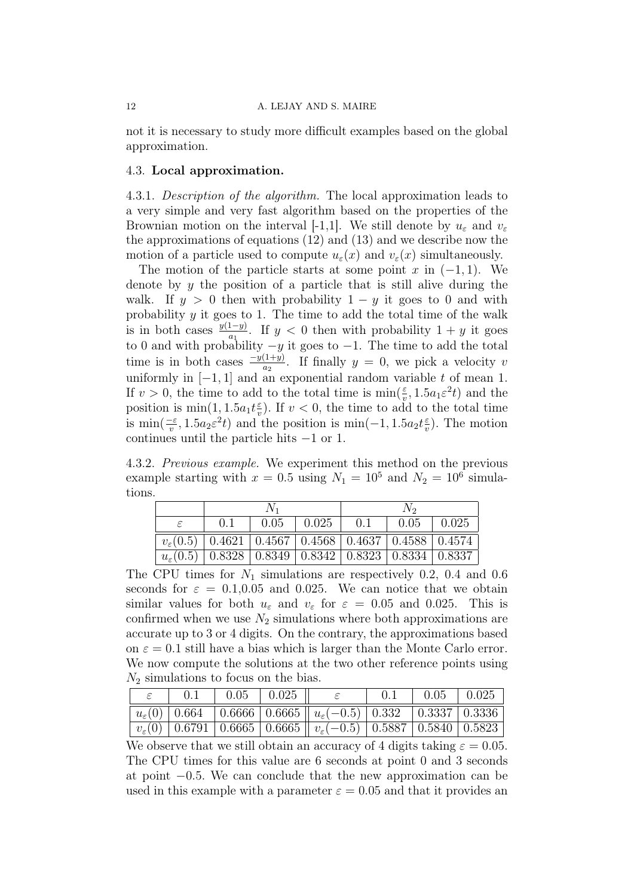not it is necessary to study more difficult examples based on the global approximation.

#### 4.3. Local approximation.

4.3.1. Description of the algorithm. The local approximation leads to a very simple and very fast algorithm based on the properties of the Brownian motion on the interval [-1,1]. We still denote by  $u_{\varepsilon}$  and  $v_{\varepsilon}$ the approximations of equations (12) and (13) and we describe now the motion of a particle used to compute  $u_{\varepsilon}(x)$  and  $v_{\varepsilon}(x)$  simultaneously.

The motion of the particle starts at some point x in  $(-1, 1)$ . We denote by  $y$  the position of a particle that is still alive during the walk. If  $y > 0$  then with probability  $1 - y$  it goes to 0 and with probability  $y$  it goes to 1. The time to add the total time of the walk is in both cases  $\frac{y(1-y)}{a_1}$ . If y < 0 then with probability  $1 + y$  it goes to 0 and with probability  $-y$  it goes to  $-1$ . The time to add the total time is in both cases  $\frac{-y(1+y)}{a_2}$ . If finally  $y = 0$ , we pick a velocity v uniformly in  $[-1, 1]$  and an exponential random variable t of mean 1. If  $v > 0$ , the time to add to the total time is  $\min(\frac{\varepsilon}{v}, 1.5a_1\varepsilon^2 t)$  and the position is  $\min(1, 1.5a_1t\frac{\varepsilon}{n})$  $\frac{\varepsilon}{v}$ ). If  $v < 0$ , the time to add to the total time is  $\min(\frac{-\varepsilon}{v}, 1.5a_2\varepsilon^2 t)$  and the position is  $\min(-1, 1.5a_2t\frac{\varepsilon}{v})$  $\frac{\varepsilon}{v}$ ). The motion continues until the particle hits −1 or 1.

4.3.2. Previous example. We experiment this method on the previous example starting with  $x = 0.5$  using  $N_1 = 10^5$  and  $N_2 = 10^6$  simulations.

|                                                                              |                                                                              |  | $0.05$   $0.025$   0.1 |  | $\vert 0.05 \vert$ | $\mid$ 0.025 |
|------------------------------------------------------------------------------|------------------------------------------------------------------------------|--|------------------------|--|--------------------|--------------|
| $v_{\varepsilon}(0.5)$   0.4621   0.4567   0.4568   0.4637   0.4588   0.4574 |                                                                              |  |                        |  |                    |              |
|                                                                              | $u_{\varepsilon}(0.5)$   0.8328   0.8349   0.8342   0.8323   0.8334   0.8337 |  |                        |  |                    |              |

The CPU times for  $N_1$  simulations are respectively 0.2, 0.4 and 0.6 seconds for  $\varepsilon = 0.1, 0.05$  and 0.025. We can notice that we obtain similar values for both  $u_{\varepsilon}$  and  $v_{\varepsilon}$  for  $\varepsilon = 0.05$  and 0.025. This is confirmed when we use  $N_2$  simulations where both approximations are accurate up to 3 or 4 digits. On the contrary, the approximations based on  $\varepsilon = 0.1$  still have a bias which is larger than the Monte Carlo error. We now compute the solutions at the two other reference points using  $N_2$  simulations to focus on the bias.

|  | $0.05$   $0.025$ |                                                                                                                            | 0.1 | $\begin{array}{ c c c c c } \hline 0.05 & 0.025 \\ \hline \end{array}$ |  |
|--|------------------|----------------------------------------------------------------------------------------------------------------------------|-----|------------------------------------------------------------------------|--|
|  |                  | $\mid u_{\varepsilon}(0) \mid 0.664 \mid 0.6666 \mid 0.6665 \mid u_{\varepsilon}(-0.5) \mid 0.332 \mid 0.3337 \mid 0.3336$ |     |                                                                        |  |
|  |                  |                                                                                                                            |     |                                                                        |  |

We observe that we still obtain an accuracy of 4 digits taking  $\varepsilon = 0.05$ . The CPU times for this value are 6 seconds at point 0 and 3 seconds at point −0.5. We can conclude that the new approximation can be used in this example with a parameter  $\varepsilon = 0.05$  and that it provides an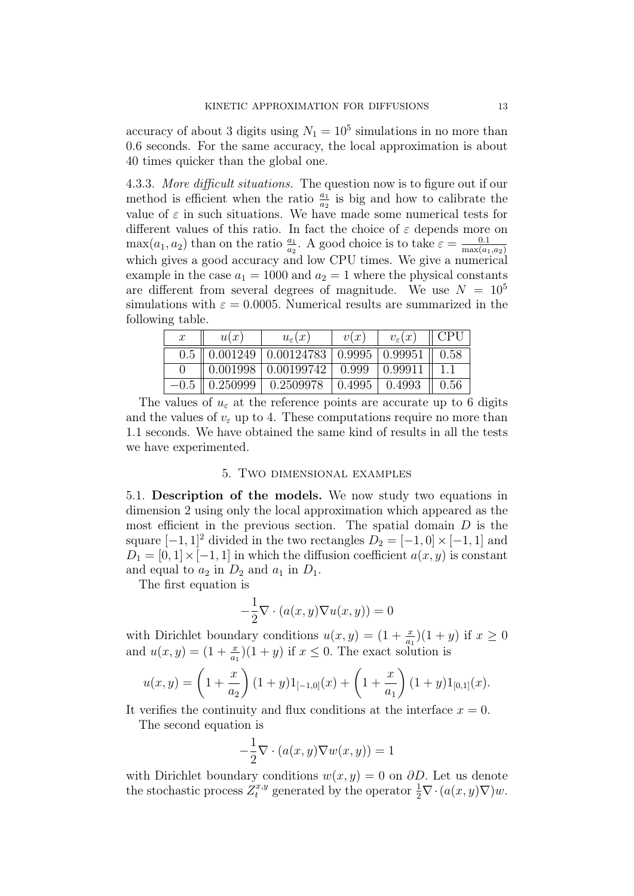accuracy of about 3 digits using  $N_1 = 10^5$  simulations in no more than 0.6 seconds. For the same accuracy, the local approximation is about 40 times quicker than the global one.

4.3.3. More difficult situations. The question now is to figure out if our method is efficient when the ratio  $\frac{a_1}{a_2}$  is big and how to calibrate the value of  $\varepsilon$  in such situations. We have made some numerical tests for different values of this ratio. In fact the choice of  $\varepsilon$  depends more on  $\max(a_1, a_2)$  than on the ratio  $\frac{a_1}{a_2}$ . A good choice is to take  $\varepsilon = \frac{0.1}{\max(a_1 - a_2)}$  $max(a_1,a_2)$ which gives a good accuracy and low CPU times. We give a numerical example in the case  $a_1 = 1000$  and  $a_2 = 1$  where the physical constants are different from several degrees of magnitude. We use  $N = 10^5$ simulations with  $\varepsilon = 0.0005$ . Numerical results are summarized in the following table.

| $\mathcal{X}$ | u(x) | $u_{\varepsilon}(x)$                                                             | v(x) | $v_{\varepsilon}(x)$   CPU |  |
|---------------|------|----------------------------------------------------------------------------------|------|----------------------------|--|
|               |      | $0.5 \parallel 0.001249 \mid 0.00124783 \mid 0.9995 \mid 0.99951 \parallel 0.58$ |      |                            |  |
|               |      | $\parallel 0.001998 \mid 0.00199742 \mid 0.999 \mid 0.99911 \mid 1.1$            |      |                            |  |
|               |      | $-0.5$   0.250999   0.2509978   0.4995   0.4993   0.56                           |      |                            |  |

The values of  $u_{\varepsilon}$  at the reference points are accurate up to 6 digits and the values of  $v_{\varepsilon}$  up to 4. These computations require no more than 1.1 seconds. We have obtained the same kind of results in all the tests we have experimented.

### 5. Two dimensional examples

5.1. Description of the models. We now study two equations in dimension 2 using only the local approximation which appeared as the most efficient in the previous section. The spatial domain  $D$  is the square  $[-1, 1]^2$  divided in the two rectangles  $D_2 = [-1, 0] \times [-1, 1]$  and  $D_1 = [0, 1] \times [-1, 1]$  in which the diffusion coefficient  $a(x, y)$  is constant and equal to  $a_2$  in  $D_2$  and  $a_1$  in  $D_1$ .

The first equation is

$$
-\frac{1}{2}\nabla \cdot (a(x,y)\nabla u(x,y)) = 0
$$

with Dirichlet boundary conditions  $u(x, y) = (1 + \frac{x}{a_1})(1 + y)$  if  $x \ge 0$ and  $u(x, y) = (1 + \frac{x}{a_1})(1 + y)$  if  $x \le 0$ . The exact solution is

$$
u(x,y) = \left(1 + \frac{x}{a_2}\right)(1+y)1_{[-1,0]}(x) + \left(1 + \frac{x}{a_1}\right)(1+y)1_{[0,1]}(x).
$$

It verifies the continuity and flux conditions at the interface  $x = 0$ .

The second equation is

$$
-\frac{1}{2}\nabla \cdot (a(x,y)\nabla w(x,y)) = 1
$$

with Dirichlet boundary conditions  $w(x, y) = 0$  on  $\partial D$ . Let us denote the stochastic process  $\tilde{Z}_t^{x,y}$  generated by the operator  $\frac{1}{2}\nabla \cdot (a(x,y)\nabla)w$ .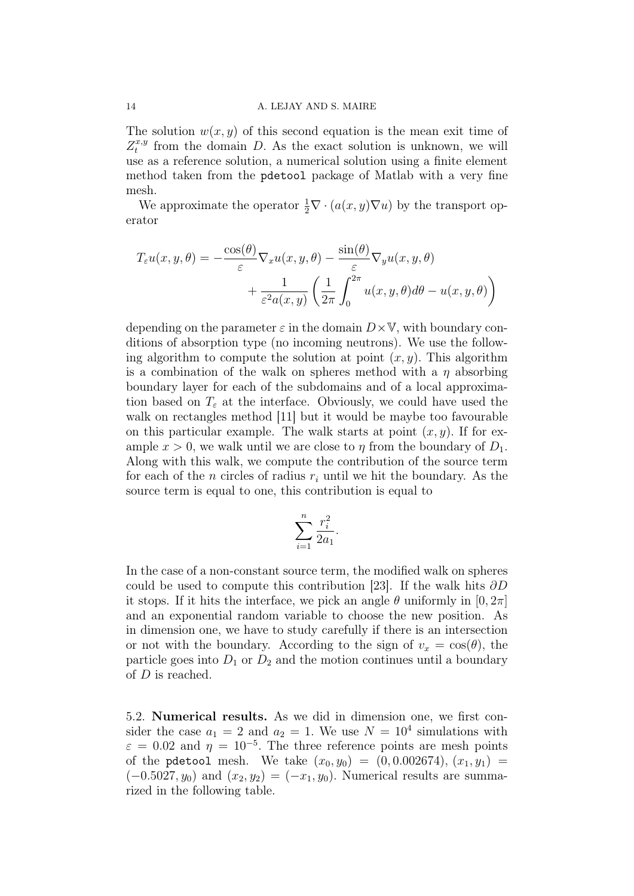#### 14 A. LEJAY AND S. MAIRE

The solution  $w(x, y)$  of this second equation is the mean exit time of  $Z_t^{x,y}$  $t^{x,y}$  from the domain D. As the exact solution is unknown, we will use as a reference solution, a numerical solution using a finite element method taken from the pdetool package of Matlab with a very fine mesh.

We approximate the operator  $\frac{1}{2}\nabla \cdot (a(x, y)\nabla u)$  by the transport operator

$$
T_{\varepsilon}u(x,y,\theta) = -\frac{\cos(\theta)}{\varepsilon}\nabla_x u(x,y,\theta) - \frac{\sin(\theta)}{\varepsilon}\nabla_y u(x,y,\theta) + \frac{1}{\varepsilon^2 a(x,y)} \left(\frac{1}{2\pi} \int_0^{2\pi} u(x,y,\theta) d\theta - u(x,y,\theta)\right)
$$

depending on the parameter  $\varepsilon$  in the domain  $D\times\mathbb{V}$ , with boundary conditions of absorption type (no incoming neutrons). We use the following algorithm to compute the solution at point  $(x, y)$ . This algorithm is a combination of the walk on spheres method with a  $\eta$  absorbing boundary layer for each of the subdomains and of a local approximation based on  $T_{\varepsilon}$  at the interface. Obviously, we could have used the walk on rectangles method [11] but it would be maybe too favourable on this particular example. The walk starts at point  $(x, y)$ . If for example  $x > 0$ , we walk until we are close to  $\eta$  from the boundary of  $D_1$ . Along with this walk, we compute the contribution of the source term for each of the *n* circles of radius  $r_i$  until we hit the boundary. As the source term is equal to one, this contribution is equal to

$$
\sum_{i=1}^n \frac{r_i^2}{2a_1}.
$$

In the case of a non-constant source term, the modified walk on spheres could be used to compute this contribution [23]. If the walk hits  $\partial D$ it stops. If it hits the interface, we pick an angle  $\theta$  uniformly in  $[0, 2\pi]$ and an exponential random variable to choose the new position. As in dimension one, we have to study carefully if there is an intersection or not with the boundary. According to the sign of  $v_x = \cos(\theta)$ , the particle goes into  $D_1$  or  $D_2$  and the motion continues until a boundary of D is reached.

5.2. Numerical results. As we did in dimension one, we first consider the case  $a_1 = 2$  and  $a_2 = 1$ . We use  $N = 10^4$  simulations with  $\varepsilon = 0.02$  and  $\eta = 10^{-5}$ . The three reference points are mesh points of the pdetool mesh. We take  $(x_0, y_0) = (0, 0.002674), (x_1, y_1) =$  $(-0.5027, y_0)$  and  $(x_2, y_2) = (-x_1, y_0)$ . Numerical results are summarized in the following table.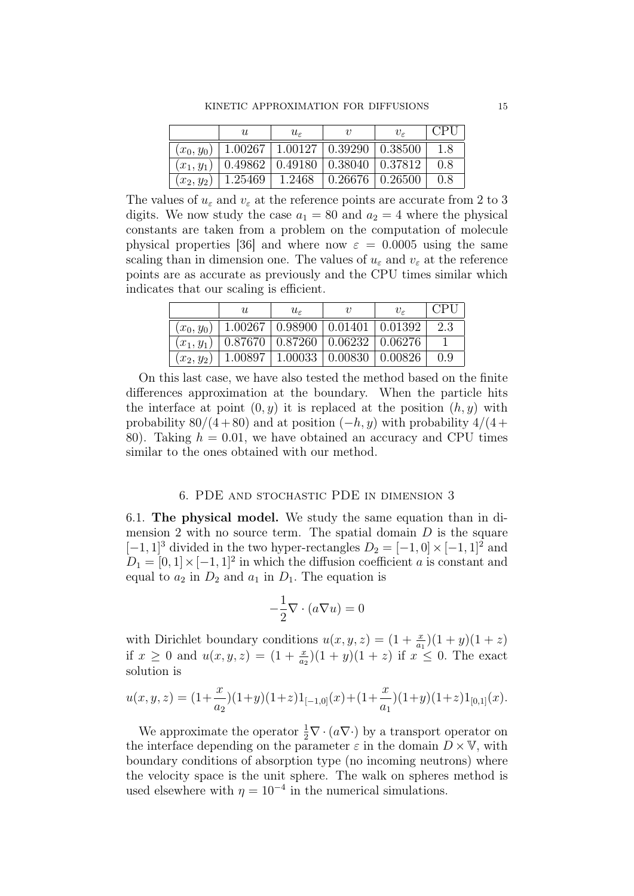|              | U       | $u_{\varepsilon}$             |         | $v_{\varepsilon}$ | C <sub>PI</sub> |
|--------------|---------|-------------------------------|---------|-------------------|-----------------|
| $(x_0, y_0)$ | 1.00267 | $\mid$ 1.00127 $\mid$ 0.39290 |         | $+0.38500$        | 1.8             |
| $(x_1, y_1)$ | 0.49862 | $0.49180$   $0.38040$         |         | 0.37812           | 0.8             |
| $(x_2, y_2)$ | 1.25469 | 1.2468                        | 0.26676 | 0.26500           | 0.8             |

The values of  $u_{\varepsilon}$  and  $v_{\varepsilon}$  at the reference points are accurate from 2 to 3 digits. We now study the case  $a_1 = 80$  and  $a_2 = 4$  where the physical constants are taken from a problem on the computation of molecule physical properties [36] and where now  $\varepsilon = 0.0005$  using the same scaling than in dimension one. The values of  $u_{\varepsilon}$  and  $v_{\varepsilon}$  at the reference points are as accurate as previously and the CPU times similar which indicates that our scaling is efficient.

|              | U                                                  | $u_{\varepsilon}$                                           | $v_{\varepsilon}$ | CPI) |
|--------------|----------------------------------------------------|-------------------------------------------------------------|-------------------|------|
| $(x_0, y_0)$ |                                                    | $\mid$ 1.00267 $\mid$ 0.98900 $\mid$ 0.01401 $\mid$ 0.01392 |                   | 2.3  |
| $(x_1,y_1)$  | $\mid 0.87670\mid 0.87260\mid 0.06232\mid 0.06276$ |                                                             |                   |      |
| $(x_2,y_2)$  |                                                    | $1.00897 \mid 1.00033 \mid 0.00830 \mid 0.00826$            |                   | 09   |

On this last case, we have also tested the method based on the finite differences approximation at the boundary. When the particle hits the interface at point  $(0, y)$  it is replaced at the position  $(h, y)$  with probability  $80/(4+80)$  and at position  $(-h, y)$  with probability  $4/(4+$ 80). Taking  $h = 0.01$ , we have obtained an accuracy and CPU times similar to the ones obtained with our method.

### 6. PDE and stochastic PDE in dimension 3

6.1. The physical model. We study the same equation than in dimension 2 with no source term. The spatial domain  $D$  is the square  $[-1, 1]^3$  divided in the two hyper-rectangles  $D_2 = [-1, 0] \times [-1, 1]^2$  and  $D_1 = [0, 1] \times [-1, 1]^2$  in which the diffusion coefficient a is constant and equal to  $a_2$  in  $D_2$  and  $a_1$  in  $D_1$ . The equation is

$$
-\frac{1}{2}\nabla \cdot (a\nabla u) = 0
$$

with Dirichlet boundary conditions  $u(x, y, z) = (1 + \frac{x}{a_1})(1 + y)(1 + z)$ if  $x \ge 0$  and  $u(x, y, z) = (1 + \frac{x}{a_2})(1 + y)(1 + z)$  if  $x \le 0$ . The exact solution is

$$
u(x, y, z) = (1 + \frac{x}{a_2})(1 + y)(1 + z)1_{[-1,0]}(x) + (1 + \frac{x}{a_1})(1 + y)(1 + z)1_{[0,1]}(x).
$$

We approximate the operator  $\frac{1}{2} \nabla \cdot (a \nabla \cdot)$  by a transport operator on the interface depending on the parameter  $\varepsilon$  in the domain  $D \times \mathbb{V}$ , with boundary conditions of absorption type (no incoming neutrons) where the velocity space is the unit sphere. The walk on spheres method is used elsewhere with  $\eta = 10^{-4}$  in the numerical simulations.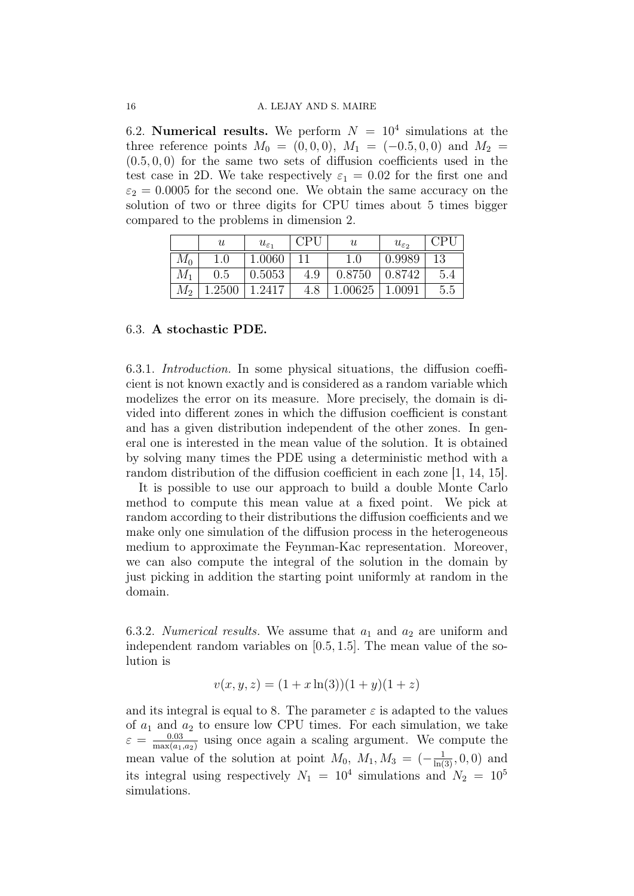6.2. Numerical results. We perform  $N = 10^4$  simulations at the three reference points  $M_0 = (0, 0, 0), M_1 = (-0.5, 0, 0)$  and  $M_2 =$  $(0.5, 0, 0)$  for the same two sets of diffusion coefficients used in the test case in 2D. We take respectively  $\varepsilon_1 = 0.02$  for the first one and  $\varepsilon_2 = 0.0005$  for the second one. We obtain the same accuracy on the solution of two or three digits for CPU times about 5 times bigger compared to the problems in dimension 2.

|             | $\boldsymbol{u}$ | $u_{\varepsilon_1}$ | C <sub>PI</sub> | $\boldsymbol{\mathit{u}}$ | $u_{\varepsilon_2}$ | ⊟PT ≀ |
|-------------|------------------|---------------------|-----------------|---------------------------|---------------------|-------|
| $M_{0}$     | .0               | $1.0060\,$          |                 |                           | 0.9989              | 13    |
| $M_{\rm 1}$ | 0.5              | 0.5053              | 4.9             | 0.8750                    | 0.8742              | 5.4   |
| $M_2$       | .2500            | 1.2417              |                 | .00625                    | .0091               | 5.5   |

#### 6.3. A stochastic PDE.

6.3.1. Introduction. In some physical situations, the diffusion coefficient is not known exactly and is considered as a random variable which modelizes the error on its measure. More precisely, the domain is divided into different zones in which the diffusion coefficient is constant and has a given distribution independent of the other zones. In general one is interested in the mean value of the solution. It is obtained by solving many times the PDE using a deterministic method with a random distribution of the diffusion coefficient in each zone [1, 14, 15].

It is possible to use our approach to build a double Monte Carlo method to compute this mean value at a fixed point. We pick at random according to their distributions the diffusion coefficients and we make only one simulation of the diffusion process in the heterogeneous medium to approximate the Feynman-Kac representation. Moreover, we can also compute the integral of the solution in the domain by just picking in addition the starting point uniformly at random in the domain.

6.3.2. Numerical results. We assume that  $a_1$  and  $a_2$  are uniform and independent random variables on [0.5, 1.5]. The mean value of the solution is

$$
v(x, y, z) = (1 + x \ln(3))(1 + y)(1 + z)
$$

and its integral is equal to 8. The parameter  $\varepsilon$  is adapted to the values of  $a_1$  and  $a_2$  to ensure low CPU times. For each simulation, we take  $\varepsilon = \frac{0.03}{\text{max}(a)}$  $\frac{0.03}{\max(a_1, a_2)}$  using once again a scaling argument. We compute the mean value of the solution at point  $M_0$ ,  $M_1, M_3 = \left(-\frac{1}{\ln(3)}, 0, 0\right)$  and its integral using respectively  $N_1 = 10^4$  simulations and  $N_2 = 10^5$ simulations.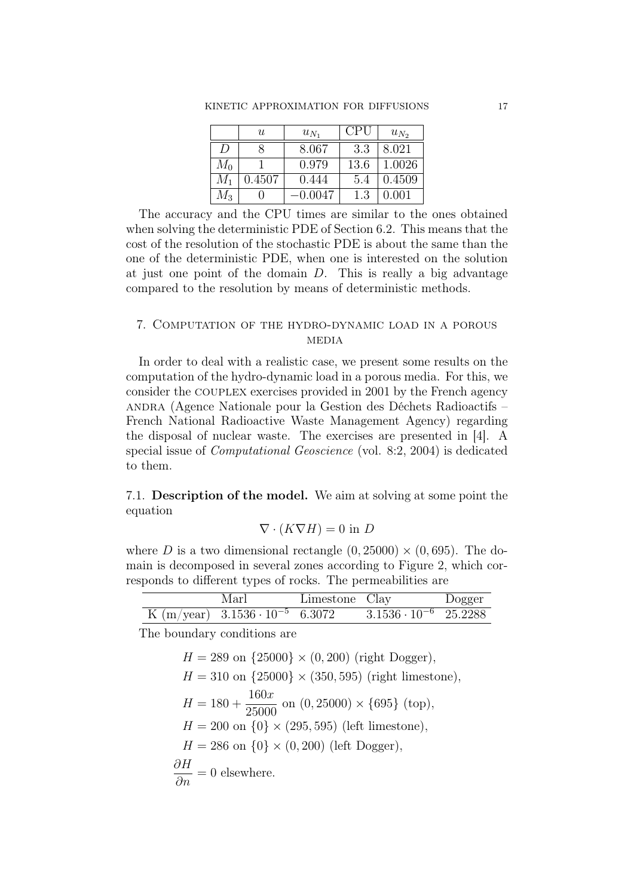|             | U           | $u_{N_1}$ | CPU  | $u_{N_2}$ |
|-------------|-------------|-----------|------|-----------|
| D           |             | 8.067     | 3.3  | 8.021     |
| $M_0$       |             | 0.979     | 13.6 | 1.0026    |
| $M_1$       | ${ 0.4507}$ | 0.444     | 5.4  | 0.4509    |
| $M_{\rm 3}$ |             | 0.0047    | 1.3  | 0.001     |

The accuracy and the CPU times are similar to the ones obtained when solving the deterministic PDE of Section 6.2. This means that the cost of the resolution of the stochastic PDE is about the same than the one of the deterministic PDE, when one is interested on the solution at just one point of the domain D. This is really a big advantage compared to the resolution by means of deterministic methods.

## 7. Computation of the hydro-dynamic load in a porous **MEDIA**

In order to deal with a realistic case, we present some results on the computation of the hydro-dynamic load in a porous media. For this, we consider the couplex exercises provided in 2001 by the French agency andra (Agence Nationale pour la Gestion des Déchets Radioactifs – French National Radioactive Waste Management Agency) regarding the disposal of nuclear waste. The exercises are presented in [4]. A special issue of Computational Geoscience (vol. 8:2, 2004) is dedicated to them.

7.1. Description of the model. We aim at solving at some point the equation

$$
\nabla \cdot (K \nabla H) = 0
$$
 in *D*

where D is a two dimensional rectangle  $(0, 25000) \times (0, 695)$ . The domain is decomposed in several zones according to Figure 2, which corresponds to different types of rocks. The permeabilities are

| Marl                                       | Limestone Clay |                                | Dogger |
|--------------------------------------------|----------------|--------------------------------|--------|
| K $(m/year)$ 3.1536 $\cdot 10^{-5}$ 6.3072 |                | $3.1536 \cdot 10^{-6}$ 25.2288 |        |

The boundary conditions are

$$
H = 289 \text{ on } \{25000\} \times (0, 200) \text{ (right Dogger)},
$$
  
\n
$$
H = 310 \text{ on } \{25000\} \times (350, 595) \text{ (right limestone)},
$$
  
\n
$$
H = 180 + \frac{160x}{25000} \text{ on } (0, 25000) \times \{695\} \text{ (top)},
$$
  
\n
$$
H = 200 \text{ on } \{0\} \times (295, 595) \text{ (left limestone)},
$$
  
\n
$$
H = 286 \text{ on } \{0\} \times (0, 200) \text{ (left Dogger)},
$$
  
\n
$$
\frac{\partial H}{\partial n} = 0 \text{ elsewhere}.
$$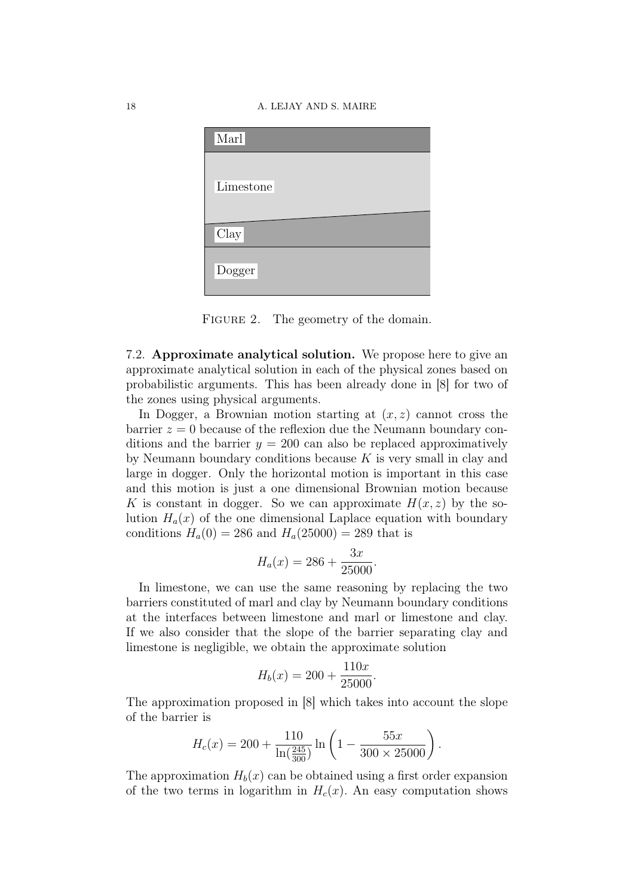#### 18 A. LEJAY AND S. MAIRE



FIGURE 2. The geometry of the domain.

7.2. Approximate analytical solution. We propose here to give an approximate analytical solution in each of the physical zones based on probabilistic arguments. This has been already done in [8] for two of the zones using physical arguments.

In Dogger, a Brownian motion starting at  $(x, z)$  cannot cross the  $barrier z = 0$  because of the reflexion due the Neumann boundary conditions and the barrier  $y = 200$  can also be replaced approximatively by Neumann boundary conditions because  $K$  is very small in clay and large in dogger. Only the horizontal motion is important in this case and this motion is just a one dimensional Brownian motion because K is constant in dogger. So we can approximate  $H(x, z)$  by the solution  $H_a(x)$  of the one dimensional Laplace equation with boundary conditions  $H_a(0) = 286$  and  $H_a(25000) = 289$  that is

$$
H_a(x) = 286 + \frac{3x}{25000}.
$$

In limestone, we can use the same reasoning by replacing the two barriers constituted of marl and clay by Neumann boundary conditions at the interfaces between limestone and marl or limestone and clay. If we also consider that the slope of the barrier separating clay and limestone is negligible, we obtain the approximate solution

$$
H_b(x) = 200 + \frac{110x}{25000}.
$$

The approximation proposed in [8] which takes into account the slope of the barrier is

$$
H_c(x) = 200 + \frac{110}{\ln(\frac{245}{300})} \ln\left(1 - \frac{55x}{300 \times 25000}\right)
$$

.

The approximation  $H_b(x)$  can be obtained using a first order expansion of the two terms in logarithm in  $H_c(x)$ . An easy computation shows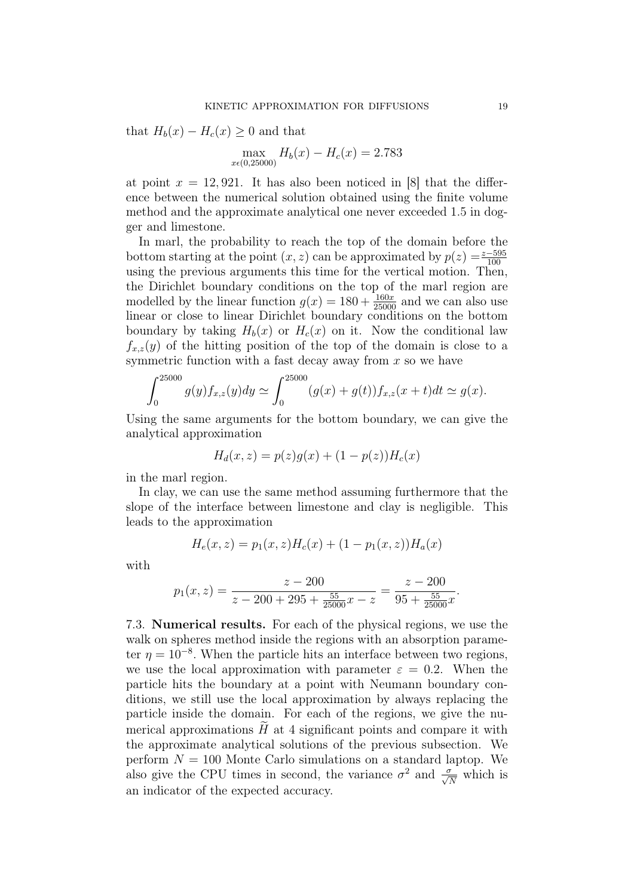that  $H_b(x) - H_c(x) \geq 0$  and that

$$
\max_{x \in (0,25000)} H_b(x) - H_c(x) = 2.783
$$

at point  $x = 12,921$ . It has also been noticed in [8] that the difference between the numerical solution obtained using the finite volume method and the approximate analytical one never exceeded 1.5 in dogger and limestone.

In marl, the probability to reach the top of the domain before the bottom starting at the point  $(x, z)$  can be approximated by  $p(z) = \frac{z - 595}{100}$ using the previous arguments this time for the vertical motion. Then, the Dirichlet boundary conditions on the top of the marl region are modelled by the linear function  $g(x) = 180 + \frac{160x}{25000}$  and we can also use linear or close to linear Dirichlet boundary conditions on the bottom boundary by taking  $H_b(x)$  or  $H_c(x)$  on it. Now the conditional law  $f_{x,z}(y)$  of the hitting position of the top of the domain is close to a symmetric function with a fast decay away from  $x$  so we have

$$
\int_0^{25000} g(y) f_{x,z}(y) dy \simeq \int_0^{25000} (g(x) + g(t)) f_{x,z}(x + t) dt \simeq g(x).
$$

Using the same arguments for the bottom boundary, we can give the analytical approximation

$$
H_d(x, z) = p(z)g(x) + (1 - p(z))H_c(x)
$$

in the marl region.

In clay, we can use the same method assuming furthermore that the slope of the interface between limestone and clay is negligible. This leads to the approximation

$$
H_e(x, z) = p_1(x, z)H_c(x) + (1 - p_1(x, z))H_a(x)
$$

with

$$
p_1(x, z) = \frac{z - 200}{z - 200 + 295 + \frac{55}{25000}x - z} = \frac{z - 200}{95 + \frac{55}{25000}x}.
$$

7.3. Numerical results. For each of the physical regions, we use the walk on spheres method inside the regions with an absorption parameter  $\eta = 10^{-8}$ . When the particle hits an interface between two regions, we use the local approximation with parameter  $\varepsilon = 0.2$ . When the particle hits the boundary at a point with Neumann boundary conditions, we still use the local approximation by always replacing the particle inside the domain. For each of the regions, we give the numerical approximations  $H$  at 4 significant points and compare it with the approximate analytical solutions of the previous subsection. We perform  $N = 100$  Monte Carlo simulations on a standard laptop. We also give the CPU times in second, the variance  $\sigma^2$  and  $\frac{\sigma}{\sqrt{N}}$  which is an indicator of the expected accuracy.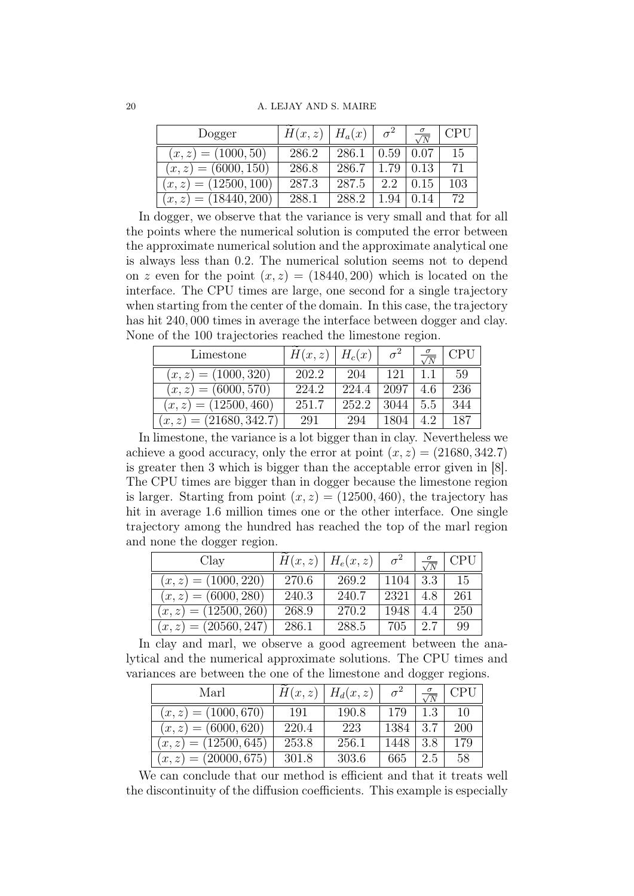| Dogger                  | $H(x, z)$   $H_a(x)$ |       | $\sigma^2$ | $\sqrt{N}$ | CPU |
|-------------------------|----------------------|-------|------------|------------|-----|
| $(x, z) = (1000, 50)$   | 286.2                | 286.1 | 0.59       | 0.07       | 15  |
| $(x, z) = (6000, 150)$  | 286.8                | 286.7 | 1.79       | 0.13       | 71  |
| $(x, z) = (12500, 100)$ | 287.3                | 287.5 | 99         | 0.15       | 103 |
| $(x, z) = (18440, 200)$ | 288.1                | 288.2 |            |            | 72  |

In dogger, we observe that the variance is very small and that for all the points where the numerical solution is computed the error between the approximate numerical solution and the approximate analytical one is always less than 0.2. The numerical solution seems not to depend on z even for the point  $(x, z) = (18440, 200)$  which is located on the interface. The CPU times are large, one second for a single trajectory when starting from the center of the domain. In this case, the trajectory has hit 240, 000 times in average the interface between dogger and clay. None of the 100 trajectories reached the limestone region.

| Limestone                 | $H(x, z)$   $H_c(x)$ |       |      | $\sqrt{N}$ |     |
|---------------------------|----------------------|-------|------|------------|-----|
| $(x, z) = (1000, 320)$    | 202.2                | 204   | 121  |            | 59  |
| $(x, z) = (6000, 570)$    | 224.2                | 224.4 | 2097 | 46         | 236 |
| $(x, z) = (12500, 460)$   | 251.7                | 252.2 | 3044 | 5.5        | 344 |
| $(x, z) = (21680, 342.7)$ | 291                  | 294   |      |            | 187 |

In limestone, the variance is a lot bigger than in clay. Nevertheless we achieve a good accuracy, only the error at point  $(x, z) = (21680, 342.7)$ is greater then 3 which is bigger than the acceptable error given in [8]. The CPU times are bigger than in dogger because the limestone region is larger. Starting from point  $(x, z) = (12500, 460)$ , the trajectory has hit in average 1.6 million times one or the other interface. One single trajectory among the hundred has reached the top of the marl region and none the dogger region.

| Clay                    | H(x,z) | $H_e(x,z)$ | $\sigma^2$ | $\frac{\sigma}{\sqrt{N}}$ | <b>CPU</b> |
|-------------------------|--------|------------|------------|---------------------------|------------|
| $(x, z) = (1000, 220)$  | 270.6  | 269.2      | 1104       | -3.3                      | -15        |
| $(x, z) = (6000, 280)$  | 240.3  | 240.7      | 2321       | 4.8                       | 261        |
| $(x, z) = (12500, 260)$ | 268.9  | 270.2      | 1948       | 4.4                       | 250        |
| $(x, z) = (20560, 247)$ | 286.1  | 288.5      | 705        | 2.7                       | 99         |

In clay and marl, we observe a good agreement between the analytical and the numerical approximate solutions. The CPU times and variances are between the one of the limestone and dogger regions.

| Marl                    |       | $H(x, z)$   $H_d(x, z)$ | $\sigma^2$ | $\frac{\sigma}{\sqrt{N}}$ | CPU |
|-------------------------|-------|-------------------------|------------|---------------------------|-----|
| $(x, z) = (1000, 670)$  | -191  | 190.8                   | 179        | 1.3                       | 10  |
| $(x, z) = (6000, 620)$  | 220.4 | 223                     | 1384       | 3.7                       | 200 |
| $(x, z) = (12500, 645)$ | 253.8 | 256.1                   | 1448       | 3.8                       | 179 |
| $(x, z) = (20000, 675)$ | 301.8 | 303.6                   | 665.       | 2.5                       | 58  |

We can conclude that our method is efficient and that it treats well the discontinuity of the diffusion coefficients. This example is especially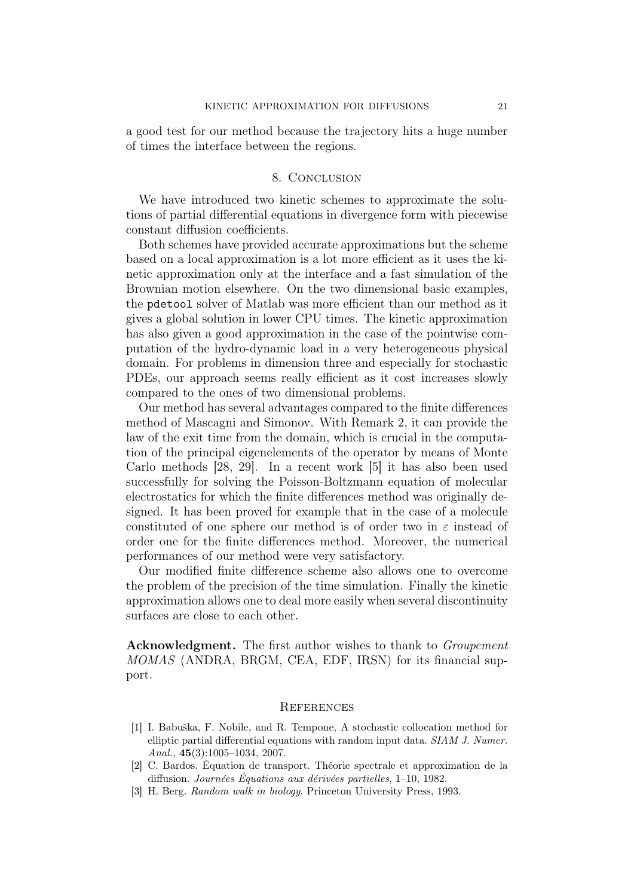a good test for our method because the trajectory hits a huge number of times the interface between the regions.

#### 8. Conclusion

We have introduced two kinetic schemes to approximate the solutions of partial differential equations in divergence form with piecewise constant diffusion coefficients.

Both schemes have provided accurate approximations but the scheme based on a local approximation is a lot more efficient as it uses the kinetic approximation only at the interface and a fast simulation of the Brownian motion elsewhere. On the two dimensional basic examples, the pdetool solver of Matlab was more efficient than our method as it gives a global solution in lower CPU times. The kinetic approximation has also given a good approximation in the case of the pointwise computation of the hydro-dynamic load in a very heterogeneous physical domain. For problems in dimension three and especially for stochastic PDEs, our approach seems really efficient as it cost increases slowly compared to the ones of two dimensional problems.

Our method has several advantages compared to the finite differences method of Mascagni and Simonov. With Remark 2, it can provide the law of the exit time from the domain, which is crucial in the computation of the principal eigenelements of the operator by means of Monte Carlo methods [28, 29]. In a recent work [5] it has also been used successfully for solving the Poisson-Boltzmann equation of molecular electrostatics for which the finite differences method was originally designed. It has been proved for example that in the case of a molecule constituted of one sphere our method is of order two in  $\varepsilon$  instead of order one for the finite differences method. Moreover, the numerical performances of our method were very satisfactory.

Our modified finite difference scheme also allows one to overcome the problem of the precision of the time simulation. Finally the kinetic approximation allows one to deal more easily when several discontinuity surfaces are close to each other.

Acknowledgment. The first author wishes to thank to *Groupement* MOMAS (ANDRA, BRGM, CEA, EDF, IRSN) for its financial support.

#### **REFERENCES**

- [1] I. Babuška, F. Nobile, and R. Tempone, A stochastic collocation method for elliptic partial differential equations with random input data. SIAM J. Numer. Anal., 45(3):1005–1034, 2007.
- [2] C. Bardos. Équation de transport. Théorie spectrale et approximation de la diffusion. Journées Équations aux dérivées partielles, 1–10, 1982.
- [3] H. Berg. Random walk in biology. Princeton University Press, 1993.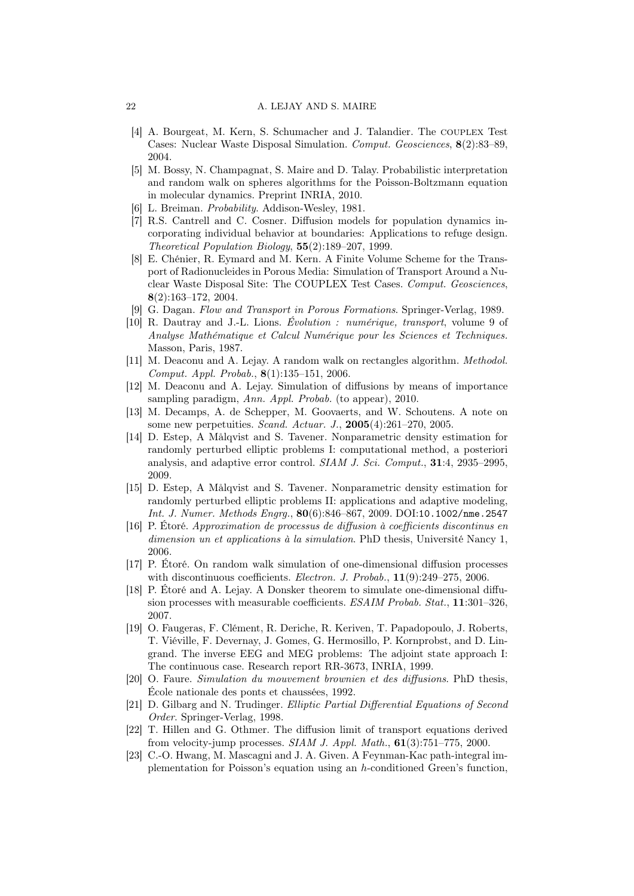- [4] A. Bourgeat, M. Kern, S. Schumacher and J. Talandier. The COUPLEX Test Cases: Nuclear Waste Disposal Simulation. Comput. Geosciences, 8(2):83–89, 2004.
- [5] M. Bossy, N. Champagnat, S. Maire and D. Talay. Probabilistic interpretation and random walk on spheres algorithms for the Poisson-Boltzmann equation in molecular dynamics. Preprint INRIA, 2010.
- [6] L. Breiman. Probability. Addison-Wesley, 1981.
- [7] R.S. Cantrell and C. Cosner. Diffusion models for population dynamics incorporating individual behavior at boundaries: Applications to refuge design. Theoretical Population Biology, 55(2):189–207, 1999.
- [8] E. Chénier, R. Eymard and M. Kern. A Finite Volume Scheme for the Transport of Radionucleides in Porous Media: Simulation of Transport Around a Nuclear Waste Disposal Site: The COUPLEX Test Cases. Comput. Geosciences, 8(2):163–172, 2004.
- [9] G. Dagan. Flow and Transport in Porous Formations. Springer-Verlag, 1989.
- [10] R. Dautray and J.-L. Lions. Évolution : numérique, transport, volume 9 of Analyse Mathématique et Calcul Numérique pour les Sciences et Techniques. Masson, Paris, 1987.
- [11] M. Deaconu and A. Lejay. A random walk on rectangles algorithm. Methodol. Comput. Appl. Probab., 8(1):135–151, 2006.
- [12] M. Deaconu and A. Lejay. Simulation of diffusions by means of importance sampling paradigm, Ann. Appl. Probab. (to appear), 2010.
- [13] M. Decamps, A. de Schepper, M. Goovaerts, and W. Schoutens. A note on some new perpetuities. Scand. Actuar. J., 2005(4):261–270, 2005.
- [14] D. Estep, A Målqvist and S. Tavener. Nonparametric density estimation for randomly perturbed elliptic problems I: computational method, a posteriori analysis, and adaptive error control. SIAM J. Sci. Comput., 31:4, 2935–2995, 2009.
- [15] D. Estep, A Målqvist and S. Tavener. Nonparametric density estimation for randomly perturbed elliptic problems II: applications and adaptive modeling, Int. J. Numer. Methods Engrg., 80(6):846–867, 2009. DOI:10.1002/nme.2547
- [16] P. Étoré. Approximation de processus de diffusion à coefficients discontinus en dimension un et applications à la simulation. PhD thesis, Université Nancy 1, 2006.
- [17] P. Étoré. On random walk simulation of one-dimensional diffusion processes with discontinuous coefficients. Electron. J. Probab.,  $11(9):249-275$ , 2006.
- [18] P. Étoré and A. Lejay. A Donsker theorem to simulate one-dimensional diffusion processes with measurable coefficients. ESAIM Probab. Stat., 11:301–326, 2007.
- [19] O. Faugeras, F. Clément, R. Deriche, R. Keriven, T. Papadopoulo, J. Roberts, T. Viéville, F. Devernay, J. Gomes, G. Hermosillo, P. Kornprobst, and D. Lingrand. The inverse EEG and MEG problems: The adjoint state approach I: The continuous case. Research report RR-3673, INRIA, 1999.
- [20] O. Faure. Simulation du mouvement brownien et des diffusions. PhD thesis, École nationale des ponts et chaussées, 1992.
- [21] D. Gilbarg and N. Trudinger. Elliptic Partial Differential Equations of Second Order. Springer-Verlag, 1998.
- [22] T. Hillen and G. Othmer. The diffusion limit of transport equations derived from velocity-jump processes.  $SIAM J. Appl. Math., 61(3): 751–775, 2000.$
- [23] C.-O. Hwang, M. Mascagni and J. A. Given. A Feynman-Kac path-integral implementation for Poisson's equation using an h-conditioned Green's function,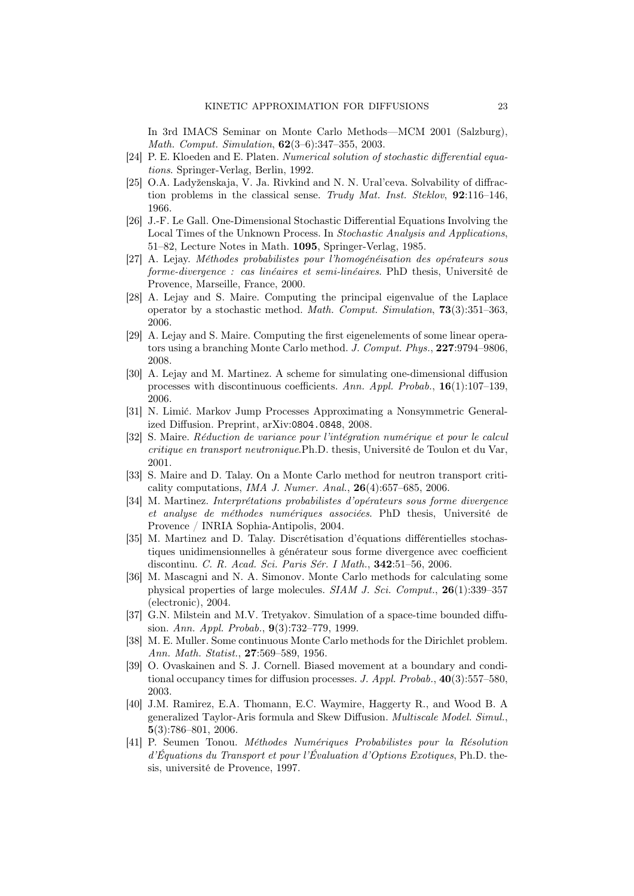In 3rd IMACS Seminar on Monte Carlo Methods—MCM 2001 (Salzburg), Math. Comput. Simulation, 62(3–6):347–355, 2003.

- [24] P. E. Kloeden and E. Platen. Numerical solution of stochastic differential equations. Springer-Verlag, Berlin, 1992.
- [25] O.A. Ladyženskaja, V. Ja. Rivkind and N. N. Ural'ceva. Solvability of diffraction problems in the classical sense. Trudy Mat. Inst. Steklov, 92:116-146. 1966.
- [26] J.-F. Le Gall. One-Dimensional Stochastic Differential Equations Involving the Local Times of the Unknown Process. In Stochastic Analysis and Applications, 51–82, Lecture Notes in Math. 1095, Springer-Verlag, 1985.
- [27] A. Lejay. Méthodes probabilistes pour l'homogénéisation des opérateurs sous forme-divergence : cas linéaires et semi-linéaires. PhD thesis, Université de Provence, Marseille, France, 2000.
- [28] A. Lejay and S. Maire. Computing the principal eigenvalue of the Laplace operator by a stochastic method. Math. Comput. Simulation, 73(3):351–363, 2006.
- [29] A. Lejay and S. Maire. Computing the first eigenelements of some linear operators using a branching Monte Carlo method. J. Comput. Phys., 227:9794–9806, 2008.
- [30] A. Lejay and M. Martinez. A scheme for simulating one-dimensional diffusion processes with discontinuous coefficients. Ann. Appl. Probab., 16(1):107–139, 2006.
- [31] N. Limić. Markov Jump Processes Approximating a Nonsymmetric Generalized Diffusion. Preprint, arXiv:0804.0848, 2008.
- [32] S. Maire. Réduction de variance pour l'intégration numérique et pour le calcul critique en transport neutronique.Ph.D. thesis, Université de Toulon et du Var, 2001.
- [33] S. Maire and D. Talay. On a Monte Carlo method for neutron transport criticality computations, *IMA J. Numer. Anal.*,  $26(4):657-685$ , 2006.
- [34] M. Martinez. Interprétations probabilistes d'opérateurs sous forme divergence et analyse de méthodes numériques associées. PhD thesis, Université de Provence / INRIA Sophia-Antipolis, 2004.
- [35] M. Martinez and D. Talay. Discrétisation d'équations différentielles stochastiques unidimensionnelles à générateur sous forme divergence avec coefficient discontinu. C. R. Acad. Sci. Paris Sér. I Math., 342:51–56, 2006.
- [36] M. Mascagni and N. A. Simonov. Monte Carlo methods for calculating some physical properties of large molecules. SIAM J. Sci. Comput., 26(1):339–357 (electronic), 2004.
- [37] G.N. Milstein and M.V. Tretyakov. Simulation of a space-time bounded diffusion. Ann. Appl. Probab., 9(3):732–779, 1999.
- [38] M. E. Muller. Some continuous Monte Carlo methods for the Dirichlet problem. Ann. Math. Statist., 27:569–589, 1956.
- [39] O. Ovaskainen and S. J. Cornell. Biased movement at a boundary and conditional occupancy times for diffusion processes. J. Appl. Probab., 40(3):557–580, 2003.
- [40] J.M. Ramirez, E.A. Thomann, E.C. Waymire, Haggerty R., and Wood B. A generalized Taylor-Aris formula and Skew Diffusion. Multiscale Model. Simul., 5(3):786–801, 2006.
- [41] P. Seumen Tonou. Méthodes Numériques Probabilistes pour la Résolution d'Équations du Transport et pour l'Évaluation d'Options Exotiques, Ph.D. thesis, université de Provence, 1997.